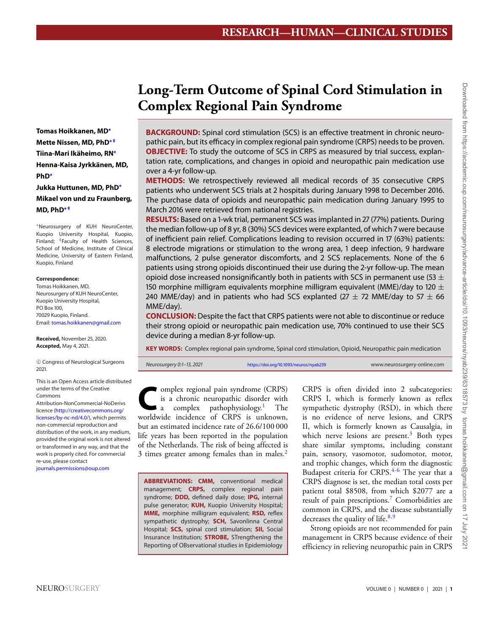# **Long-Term Outcome of Spinal Cord Stimulation in Complex Regional Pain Syndrome**

**BACKGROUND:** Spinal cord stimulation (SCS) is an effective treatment in chronic neuropathic pain, but its efficacy in complex regional pain syndrome (CRPS) needs to be proven. **OBJECTIVE:** To study the outcome of SCS in CRPS as measured by trial success, explantation rate, complications, and changes in opioid and neuropathic pain medication use over a 4-yr follow-up.

**METHODS:** We retrospectively reviewed all medical records of 35 consecutive CRPS patients who underwent SCS trials at 2 hospitals during January 1998 to December 2016. The purchase data of opioids and neuropathic pain medication during January 1995 to March 2016 were retrieved from national registries.

**RESULTS:** Based on a 1-wk trial, permanent SCS was implanted in 27 (77%) patients. During the median follow-up of 8 yr, 8 (30%) SCS devices were explanted, of which 7 were because of inefficient pain relief. Complications leading to revision occurred in 17 (63%) patients: 8 electrode migrations or stimulation to the wrong area, 1 deep infection, 9 hardware malfunctions, 2 pulse generator discomforts, and 2 SCS replacements. None of the 6 patients using strong opioids discontinued their use during the 2-yr follow-up. The mean opioid dose increased nonsignificantly both in patients with SCS in permanent use (53  $\pm$ 150 morphine milligram equivalents morphine milligram equivalent (MME)/day to 120  $\pm$ 240 MME/day) and in patients who had SCS explanted (27  $\pm$  72 MME/day to 57  $\pm$  66 MME/day).

**CONCLUSION:** Despite the fact that CRPS patients were not able to discontinue or reduce their strong opioid or neuropathic pain medication use, 70% continued to use their SCS device during a median 8-yr follow-up.

**KEY WORDS:** Complex regional pain syndrome, Spinal cord stimulation, Opioid, Neuropathic pain medication

Neurosurgery 0:1-13, 2021 <https://doi.org/10.1093/neuros/nyab239> www.neurosurgery-online.com

omplex regional pain syndrome (CRPS)<br>is a chronic neuropathic disorder with<br>a complex pathophysiology.<sup>1</sup> The is a chronic neuropathic disorder with complex pathophysiology.<sup>[1](#page-11-0)</sup> worldwide incidence of CRPS is unknown, but an estimated incidence rate of 26.6/100 000 life years has been reported in the population of the Netherlands. The risk of being affected is 3 times greater among females than in males.<sup>2</sup>

**ABBREVIATIONS: CMM,** conventional medical management; **CRPS,** complex regional pain syndrome; **DDD,** defined daily dose; **IPG,** internal pulse generator; **KUH,** Kuopio University Hospital; **MME,** morphine milligram equivalent; **RSD,** reflex sympathetic dystrophy; **SCH,** Savonlinna Central Hospital; **SCS,** spinal cord stimulation; **SII,** Social Insurance Institution; **STROBE,** STrengthening the Reporting of OBservational studies in Epidemiology

CRPS is often divided into 2 subcategories: CRPS I, which is formerly known as reflex sympathetic dystrophy (RSD), in which there is no evidence of nerve lesions, and CRPS II, which is formerly known as Causalgia, in which nerve lesions are present. $3$  Both types share similar symptoms, including constant pain, sensory, vasomotor, sudomotor, motor, and trophic changes, which form the diagnostic Budapest criteria for CRPS.<sup>4-[6](#page-11-4)</sup> The year that a CRPS diagnose is set, the median total costs per patient total \$8508, from which \$2077 are a result of pain prescriptions[.7](#page-11-5) Comorbidities are common in CRPS, and the disease substantially decreases the quality of life. $8,9$  $8,9$ 

Strong opioids are not recommended for pain management in CRPS because evidence of their efficiency in relieving neuropathic pain in CRPS

**Tomas Hoikkanen, MD[∗](#page-0-0) Mette Nissen, MD, PhD[∗](#page-0-0) [‡](#page-0-1) Tiina-Mari Ikäheimo, RN[∗](#page-0-0) Henna-Kaisa Jyrkkänen, MD, PhD[∗](#page-0-0) Jukka Huttunen, MD, PhD[∗](#page-0-0) Mikael von und zu Fraunberg,**

<span id="page-0-1"></span><span id="page-0-0"></span>∗Neurosurgery of KUH NeuroCenter, Kuopio University Hospital, Kuopio, Finland; <sup>‡</sup>Faculty of Health Sciences, School of Medicine, Institute of Clinical Medicine, University of Eastern Finland, Kuopio, Finland

#### **Correspondence:**

**MD, PhD[∗](#page-0-0) [‡](#page-0-1)**

Tomas Hoikkanen, MD, Neurosurgery of KUH NeuroCenter, Kuopio University Hospital, PO Box 100, 70029 Kuopio, Finland. Email: [tomas.hoikkanen@gmail.com](mailto:tomas.hoikkanen@gmail.com)

**Received,** November 25, 2020. **Accepted,** May 4, 2021.

<sup>C</sup> Congress of Neurological Surgeons 2021.

This is an Open Access article distributed under the terms of the Creative Commons

Attribution-NonCommercial-NoDerivs licence [\(http://creativecommons.org/](http://creativecommons.org/licenses/by-nc-nd/4.0/) [licenses/by-nc-nd/4.0/\)](http://creativecommons.org/licenses/by-nc-nd/4.0/), which permits non-commercial reproduction and distribution of the work, in any medium, provided the original work is not altered or transformed in any way, and that the work is properly cited. For commercial re-use, please contact

[journals.permissions@oup.com](mailto:journals.permissions@oup.com)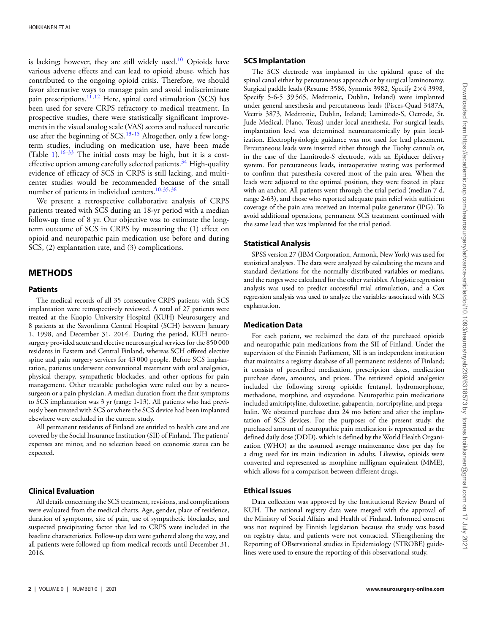is lacking; however, they are still widely used.<sup>10</sup> Opioids have various adverse effects and can lead to opioid abuse, which has contributed to the ongoing opioid crisis. Therefore, we should favor alternative ways to manage pain and avoid indiscriminate pain prescriptions.<sup>11,[12](#page-11-10)</sup> Here, spinal cord stimulation (SCS) has been used for severe CRPS refractory to medical treatment. In prospective studies, there were statistically significant improvements in the visual analog scale (VAS) scores and reduced narcotic use after the beginning of SCS. $13-15$  $13-15$  Altogether, only a few longterm studies, including on medication use, have been made (Table [1\)](#page-2-0). $16-33$  $16-33$  The initial costs may be high, but it is a costeffective option among carefully selected patients.<sup>34</sup> High-quality evidence of efficacy of SCS in CRPS is still lacking, and multicenter studies would be recommended because of the small number of patients in individual centers.<sup>10[,35,](#page-12-2)[36](#page-12-3)</sup>

We present a retrospective collaborative analysis of CRPS patients treated with SCS during an 18-yr period with a median follow-up time of 8 yr. Our objective was to estimate the longterm outcome of SCS in CRPS by measuring the (1) effect on opioid and neuropathic pain medication use before and during SCS, (2) explantation rate, and (3) complications.

## **METHODS**

#### **Patients**

The medical records of all 35 consecutive CRPS patients with SCS implantation were retrospectively reviewed. A total of 27 patients were treated at the Kuopio University Hospital (KUH) Neurosurgery and 8 patients at the Savonlinna Central Hospital (SCH) between January 1, 1998, and December 31, 2014. During the period, KUH neurosurgery provided acute and elective neurosurgical services for the 850 000 residents in Eastern and Central Finland, whereas SCH offered elective spine and pain surgery services for 43 000 people. Before SCS implantation, patients underwent conventional treatment with oral analgesics, physical therapy, sympathetic blockades, and other options for pain management. Other treatable pathologies were ruled out by a neurosurgeon or a pain physician. A median duration from the first symptoms to SCS implantation was 3 yr (range 1-13). All patients who had previously been treated with SCS or where the SCS device had been implanted elsewhere were excluded in the current study.

All permanent residents of Finland are entitled to health care and are covered by the Social Insurance Institution (SII) of Finland. The patients' expenses are minor, and no selection based on economic status can be expected.

#### **Clinical Evaluation**

All details concerning the SCS treatment, revisions, and complications were evaluated from the medical charts. Age, gender, place of residence, duration of symptoms, site of pain, use of sympathetic blockades, and suspected precipitating factor that led to CRPS were included in the baseline characteristics. Follow-up data were gathered along the way, and all patients were followed up from medical records until December 31, 2016.

The SCS electrode was implanted in the epidural space of the spinal canal either by percutaneous approach or by surgical laminotomy. Surgical paddle leads (Resume 3586, Symmix 3982, Specify 2×4 3998, Specify 5-6-5 39 565, Medtronic, Dublin, Ireland) were implanted under general anesthesia and percutaneous leads (Pisces-Quad 3487A, Vectris 3873, Medtronic, Dublin, Ireland; Lamitrode-S, Octrode, St. Jude Medical, Plano, Texas) under local anesthesia. For surgical leads, implantation level was determined neuroanatomically by pain localization. Electrophysiologic guidance was not used for lead placement. Percutaneous leads were inserted either through the Tuohy cannula or, in the case of the Lamitrode-S electrode, with an Epiducer delivery system. For percutaneous leads, intraoperative testing was performed to confirm that paresthesia covered most of the pain area. When the leads were adjusted to the optimal position, they were fixated in place with an anchor. All patients went through the trial period (median 7 d, range 2-63), and those who reported adequate pain relief with sufficient coverage of the pain area received an internal pulse generator (IPG). To avoid additional operations, permanent SCS treatment continued with the same lead that was implanted for the trial period.

## **Statistical Analysis**

SPSS version 27 (IBM Corporation, Armonk, New York) was used for statistical analyses. The data were analyzed by calculating the means and standard deviations for the normally distributed variables or medians, and the ranges were calculated for the other variables. A logistic regression analysis was used to predict successful trial stimulation, and a Cox regression analysis was used to analyze the variables associated with SCS explantation.

#### **Medication Data**

For each patient, we reclaimed the data of the purchased opioids and neuropathic pain medications from the SII of Finland. Under the supervision of the Finnish Parliament, SII is an independent institution that maintains a registry database of all permanent residents of Finland; it consists of prescribed medication, prescription dates, medication purchase dates, amounts, and prices. The retrieved opioid analgesics included the following strong opioids: fentanyl, hydromorphone, methadone, morphine, and oxycodone. Neuropathic pain medications included amitriptyline, duloxetine, gabapentin, nortriptyline, and pregabalin. We obtained purchase data 24 mo before and after the implantation of SCS devices. For the purposes of the present study, the purchased amount of neuropathic pain medication is represented as the defined daily dose (DDD), which is defined by the World Health Organization (WHO) as the assumed average maintenance dose per day for a drug used for its main indication in adults. Likewise, opioids were converted and represented as morphine milligram equivalent (MME), which allows for a comparison between different drugs.

#### **Ethical Issues**

Data collection was approved by the Institutional Review Board of KUH. The national registry data were merged with the approval of the Ministry of Social Affairs and Health of Finland. Informed consent was not required by Finnish legislation because the study was based on registry data, and patients were not contacted. STrengthening the Reporting of OBservational studies in Epidemiology (STROBE) guidelines were used to ensure the reporting of this observational study.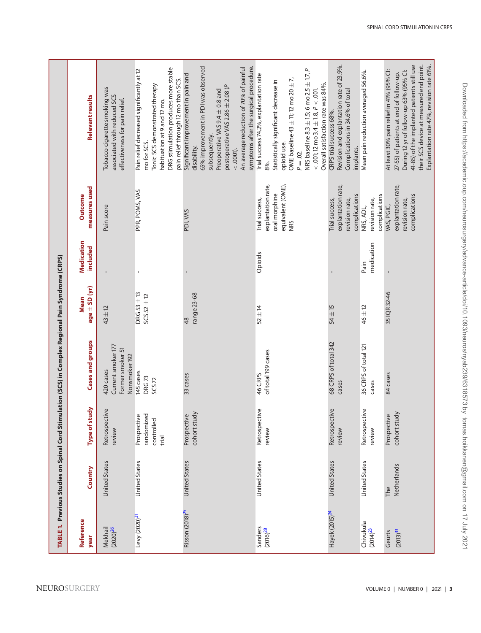<span id="page-2-0"></span>

|                                 |                      |                                                  | TABLE 1. Previous Studies on Spinal Cord Stimulation (SCS) in Complex Regional Pain Syndrome (CRPS) |                                        |                                      |                                                                                   |                                                                                                                                                                                                                                                                                                                  |
|---------------------------------|----------------------|--------------------------------------------------|-----------------------------------------------------------------------------------------------------|----------------------------------------|--------------------------------------|-----------------------------------------------------------------------------------|------------------------------------------------------------------------------------------------------------------------------------------------------------------------------------------------------------------------------------------------------------------------------------------------------------------|
| Reference<br>year               | Country              | study<br>Type of                                 | Cases and groups                                                                                    | $age \pm SD(yr)$<br><b>Mean</b>        | <b>Medication</b><br><b>included</b> | measures used<br><b>Outcome</b>                                                   | Relevant results                                                                                                                                                                                                                                                                                                 |
| Mekhail<br>(2020) <sup>26</sup> | <b>United States</b> | Retrospective<br>review                          | Current smoker 177<br>Former smoker 51<br>Nonsmoker 192<br>420 cases                                | $43 \pm 12$                            |                                      | Pain score                                                                        | Tobacco cigarette smoking was<br>associated with reduced SCS<br>effectiveness for pain relief.                                                                                                                                                                                                                   |
| Levy (2020) <sup>31</sup>       | <b>United States</b> | randomized<br>Prospective<br>controlled<br>trial | 145 cases<br>DRG73<br>SCS <sub>72</sub>                                                             | $DRG$ 53 $\pm$ 13<br>$SCS$ 52 $\pm$ 12 | $\blacksquare$                       | PPR, POMS, VAS                                                                    | DRG stimulation produces more stable<br>Pain relief decreased significantly at 12<br>pain relief through 12 mo than SCS.<br>Tonic SCS demonstrated therapy<br>habituation at 9 and 12 mo.<br>mo for SCS.                                                                                                         |
| Risson (2018) <sup>25</sup>     | <b>United States</b> | cohort study<br>Prospective                      | 33 cases                                                                                            | range 23-68<br>48                      | I.                                   | PDI, VAS                                                                          | symptoms after the surgical procedure.<br>65% improvement in PDI was observed<br>An average reduction of 70% of painful<br>Significant improvement in pain and<br>postoperative VAS 2.86 $\pm$ 2.08 (P<br>Preoperative VAS 9.4 ± 0.8 and<br>subsequently.<br>disability.<br>$< .0001$ ).                         |
| Sanders<br>$(2016)^{28}$        | United States        | Retrospective<br>review                          | of total 199 cases<br>46 CRPS                                                                       | $52 \pm 14$                            | Opioids                              | explantation rate,<br>equivalent (OME),<br>oral morphine<br>Trial success,<br>NRS | NRS baseline $8.3 \pm 1.5$ ; 6 mo $2.5 \pm 1.7$ , P<br>Trial success 74.2%, explantation rate<br>OME baseline $43 \pm 11$ ; 12 mo 20 $\pm 7$ ,<br>Statistically significant decrease in<br>Overall satisfaction rate was 84%.<br>$<$ .001; 12 mo 3.4 $\pm$ 1.8, $P <$ .001.<br>opioid use.<br>$P = .02$ .<br>8%. |
| Hayek (2015) <sup>24</sup>      | <b>United States</b> | Retrospective<br>review                          | 68 CRPS of total 342<br>cases                                                                       | $54 \pm 15$                            |                                      | explantation rate,<br>complications<br>revision rate,<br>Trial success,           | Revision and explantation rate of 23.9%.<br>Complications in 34.6% of total<br>CRPS trial success 68%.<br>implants.                                                                                                                                                                                              |
| Chivukula<br>$(2014)^{23}$      | United States        | Retrospective<br>review                          | 36 CRPS of total 121<br>cases                                                                       | 46 ± 12                                | medication<br>Pain                   | complications<br>revision rate,<br>NRS, ADL,                                      | Mean pain reduction averaged 56.6%.                                                                                                                                                                                                                                                                              |
| (2013) <sup>33</sup><br>Geurts  | Netherlands<br>The   | cohort study<br>Prospective                      | 84 cases                                                                                            | 35 IQR 32-46                           | $\mathbf{I}$                         | explantation rate,<br>complications<br>revision rate,<br>VAS, PGIC,               | 41-85) of the implanted patients still use<br>their SCS device at measured end point.<br>Explantation rate 47%, revision rate 61%.<br>At least 30% pain relief in 41% (95% Cl:<br>During 12 yr of follow-up 63% (95% Cl:<br>27-55) of patients at end of follow-up.                                              |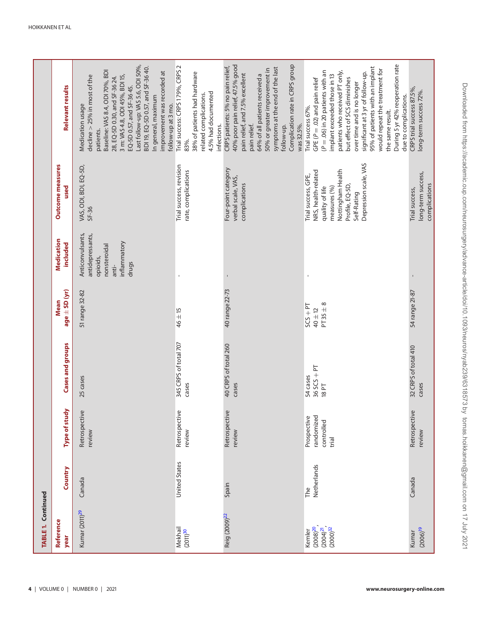<span id="page-3-0"></span>

| TABLE 1. Continued                                          |                    |                                                  |                                    |                                            |                                                                                                    |                                                                                                                                                               |                                                                                                                                                                                                                                                                                                                                                                                                                          |
|-------------------------------------------------------------|--------------------|--------------------------------------------------|------------------------------------|--------------------------------------------|----------------------------------------------------------------------------------------------------|---------------------------------------------------------------------------------------------------------------------------------------------------------------|--------------------------------------------------------------------------------------------------------------------------------------------------------------------------------------------------------------------------------------------------------------------------------------------------------------------------------------------------------------------------------------------------------------------------|
| Reference<br>year                                           | Country            | Type of study                                    | Cases and groups                   | $age \pm SD (yr)$<br><b>Mean</b>           | Medication<br>included                                                                             | Outcome measures<br>used                                                                                                                                      | Relevant results                                                                                                                                                                                                                                                                                                                                                                                                         |
| Kumar (2011) <sup>29</sup>                                  | Canada             | Retrospective<br>review                          | 25 cases                           | 51 range 32-82                             | Anticonvulsants,<br>antidepressants,<br>inflammatory<br>nonsteroidal<br>opioids,<br>drugs<br>anti- | VAS, ODI, BDI, EQ-5D,<br>$SF-36$                                                                                                                              | Last follow-up: VAS 5.6, ODI 50%,<br>BDI 19, EQ-5D 0.57, and SF-36 40.<br>Baseline: VAS 8.4, ODI 70%, BDI<br>improvement was recorded at<br>decline $>$ 25% in most of the<br>3 m: VAS 4.8, ODI 45%, BDI 15,<br>28, EQ-5D 0.30, and SF-36 24.<br>EQ-5D 0.57, and SF-36 45.<br>In general, maximum<br>follow-up at 3 mo.<br>Medication usage<br>patients.                                                                 |
| Mekhail<br>(2011) <sup>30</sup>                             | United States      | Retrospective<br>review                          | 345 CRPS of total 707<br>cases     | $46 \pm 15$                                |                                                                                                    | Trial success, revision<br>rate, complications                                                                                                                | Trial success: CRPS 179%, CRPS 2<br>38% of patients had hardware<br>4.5% had documented<br>related complications.<br>infections.<br>83%.                                                                                                                                                                                                                                                                                 |
| Reig (2009) <sup>22</sup>                                   | Spain              | Retrospective<br>review                          | 40 CRPS of total 260<br>cases      | 40 range 22-73                             |                                                                                                    | Four-point category<br>verbal scale, VAS,<br>complications                                                                                                    | Complication rate in CRPS group<br>40% poor pain relief, 47.5% good<br>CRPS patients: 5% no pain relief,<br>symptoms at the end of the last<br>50% or greater improvement in<br>pain relief, and 7.5% excellent<br>64% of all patients received a<br>was 32.5%.<br>pain relief.<br>follow-up.                                                                                                                            |
| $(2008)^{20}$<br>$(2000)^{32}$<br>$(2004)^{21}$ ,<br>Kemler | Netherlands<br>The | randomized<br>Prospective<br>controlled<br>trial | $36$ SCS + PT<br>54 cases<br>18 PT | $PT 35 \pm 8$<br>$SCS + PT$<br>$40 \pm 12$ |                                                                                                    | Depression scale, VAS<br>Nottingham Health<br>NRS, health-related<br>Trial success, GPE,<br>Profile, EQ-5D,<br>measures (%)<br>quality of life<br>Self-Rating | During 5 yr 42% reoperation rate<br>95% of patients with an implant<br>would repeat the treatment for<br>patients who received PT only,<br>$(P = .06)$ in 20 patients with an<br>significant at 3 yr of follow-up.<br>implant exceeded those in 13<br>but effect of SCS diminishes<br>GPE ( $P = .02$ ) and pain relief<br>over time and is no longer<br>due to complications.<br>Trial success 67%.<br>the same result. |
| $(2006)^{19}$<br>Kumar                                      | Canada             | Retrospective<br>review                          | 32 CRPS of total 410<br>cases      | 54 range 21-87                             | $\mathbf{I}$                                                                                       | long-term success,<br>complications<br>Trial success,                                                                                                         | CRPS trial success 87.5%,<br>long-term success 72%.                                                                                                                                                                                                                                                                                                                                                                      |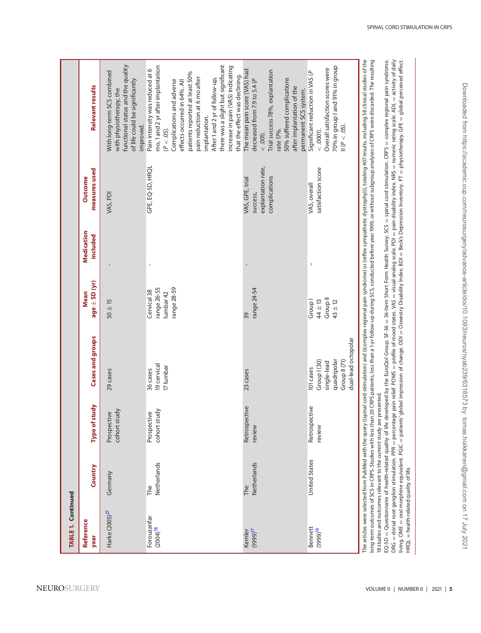| TABLE 1. Continued                    |                    |                                |                                                                                                 |                                                          |                        |                                                                    |                                                                                                                                                                                                                                                                                                                                                                                                                                              |
|---------------------------------------|--------------------|--------------------------------|-------------------------------------------------------------------------------------------------|----------------------------------------------------------|------------------------|--------------------------------------------------------------------|----------------------------------------------------------------------------------------------------------------------------------------------------------------------------------------------------------------------------------------------------------------------------------------------------------------------------------------------------------------------------------------------------------------------------------------------|
| Reference<br>year                     | Country            | Type of study                  | Cases and groups                                                                                | $age \pm SD(yr)$<br><b>Mean</b>                          | Medication<br>included | measures used<br><b>Outcome</b>                                    | Relevant results                                                                                                                                                                                                                                                                                                                                                                                                                             |
| Harke (2005) <sup>27</sup>            | Germany            | study<br>Prospective<br>cohort | 29 cases                                                                                        | $50 \pm 15$                                              |                        | VAS, PDI                                                           | functional status and the quality<br>With long-term SCS combined<br>of life could be significantly<br>with physiotherapy, the<br>improved.                                                                                                                                                                                                                                                                                                   |
| Forouzanfar<br>$(2004)$ <sup>18</sup> | Netherlands<br>The | cohort study<br>Prospective    | 19 cervical<br>17 lumbar<br>36 cases                                                            | range 26-55<br>range 28-59<br>Cervical 38<br>lumbar 42   |                        | GPE, EQ-5D, HRQL                                                   | there was a slight but significant<br>mo, 1 and 2 yr after implantation<br>increase in pain (VAS) indicating<br>Pain intensity was reduced at 6<br>patients reported at least 50%<br>that the effect was declining.<br>pain reduction at 6 mo after<br>After 1 and 2 yr of follow-up,<br>Complications and adverse<br>effects occurred in 64%. All<br>implantation.<br>$(P < .05)$ .                                                         |
| $(1999)^{17}$<br>Kemler               | Netherlands<br>The | Retrospective<br>review        | 23 cases                                                                                        | range 24-54<br>39                                        |                        | explantation rate,<br>complications<br>VAS, GPE, trial<br>success, | The mean pain score (VAS) had<br>Trial success 78%, explantation<br>50% suffered complications<br>decreased from 7.9 to 5.4 (P<br>after implantation of the<br>permanent SCS system.<br>rate 17%.<br>$<$ .001).                                                                                                                                                                                                                              |
| Bennett<br>999916                     | United States      | Retrospective<br>review        | dual-lead octopolar<br>quadripolar<br>Group II (71)<br>Group   (30)<br>single-lead<br>101 cases | Group <sup>II</sup><br>Group I<br>44 ± 13<br>$43 \pm 12$ | I                      | satisfaction score<br>VAS, overall                                 | 70% in group I and 91% in group<br>Overall satisfaction scores were<br>Significant reduction in VAS (P<br>$\theta$ ( $P$ < .05)<br>$<$ .0001).                                                                                                                                                                                                                                                                                               |
| ś                                     |                    |                                |                                                                                                 |                                                          |                        |                                                                    | The articles were selected from PubMed with the query (ispinal cord stimulation) and ((complex regional pain syndrome) or (reflex sympathetic dystrophy))), totaling 407 results, including 58 clinical studies of the<br>ong-term outcomes of SCS in CRPS. Studies with less than a 20 CRPS patients, less than a 1-yr follow-up during SCS, conducted before year 1999, or without subgroup analyses of CRPS were discarded. The resulting |

<span id="page-4-0"></span>18 studies and outcomes relevant to the current study are presented. 18 studies and outcomes relevant to the current study are presented.

 $EQ-5D =$  Questionnaire of health-related quality of life developed by the EuroQol Group. SF-36 36-Item Short Form Health Survey. SCS spinal cord stimulation. CRPS complex regional pain syndrome. DRG = dorsal root ganglion stimulation. PPR percentage pain relief. POMS profile of mood states. VAS visual analog scale. PDI pain disability index. NRS numeric rating scale. ADL activity of daily living. OME oral morphine equivalent. PGIC patients' global impression of change. ODI Oswestry Disability Index. BDI Beck's Depression Inventory. PT physiotherapy. GPE global perceived effect. HRQL =health-related quality of life.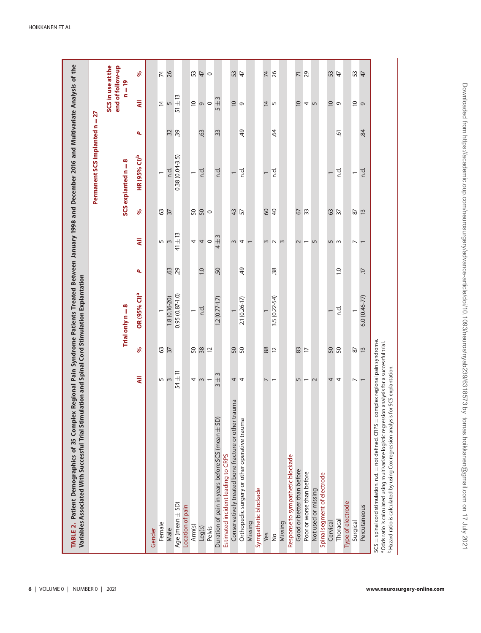| TABLE 2. Patient Demographics of 35 Complex Regional Pain Syndrome Patients Treated Between January 1998 and December 2016 and Multivariate Analysis of the<br>Variables Associated With Successful Trial Sti |                           |                          | imulation and Spinal Cord Stimulation Explantation |            |                                      |                         |                           |            |                                       |                     |
|---------------------------------------------------------------------------------------------------------------------------------------------------------------------------------------------------------------|---------------------------|--------------------------|----------------------------------------------------|------------|--------------------------------------|-------------------------|---------------------------|------------|---------------------------------------|---------------------|
|                                                                                                                                                                                                               |                           |                          |                                                    |            |                                      |                         | Permanent SCS implanted n |            | $=27$                                 |                     |
|                                                                                                                                                                                                               |                           |                          |                                                    |            |                                      |                         |                           |            | SCS in use at the<br>end of follow-up |                     |
|                                                                                                                                                                                                               |                           |                          | Trial only $n = 8$                                 |            |                                      |                         | SCS explanted n = 8       |            | ÌI,<br>s                              | <b>o</b>            |
|                                                                                                                                                                                                               | ₹                         | ҂                        | OR (95% CI) <sup>a</sup>                           | ٩          | ₹                                    | ℅                       | HR (95% CI)b              | ٩          | ₹                                     | ℅                   |
| Gender                                                                                                                                                                                                        |                           |                          |                                                    |            |                                      |                         |                           |            |                                       |                     |
| Female                                                                                                                                                                                                        | 5                         | 63                       |                                                    |            |                                      | 63                      | $\overline{\phantom{0}}$  |            | $\overline{4}$                        | 74                  |
| Male                                                                                                                                                                                                          | $\sim$                    | $\overline{\mathcal{E}}$ | $1.8(0.16 - 20)$                                   | 63         | 5<br>3                               | $\overline{37}$         | n.d.                      | 32         | $\mathsf{L}\cap$                      | 26                  |
| Age (mean $\pm$ SD)                                                                                                                                                                                           | $54 \pm 11$               |                          | $0.95(0.87 - 1.0)$                                 | 29         | ß<br>$\overline{+}$<br>$\frac{4}{3}$ |                         | $0.38(0.04-3.5)$          | 39         | $\pm 13$<br>5                         |                     |
| Location of pain                                                                                                                                                                                              |                           |                          |                                                    |            |                                      |                         |                           |            |                                       |                     |
| Arm(s)                                                                                                                                                                                                        | 4                         |                          | $\overline{\phantom{0}}$                           |            | 4                                    | 50                      | $\overline{\phantom{0}}$  |            |                                       | 53                  |
| Leg(s)                                                                                                                                                                                                        | $\sim$                    | 58 x 2                   | n.d.                                               | 0.1        |                                      | 50                      | n.d.                      | 63         | င္ ၈ ၀                                | $\overline{4}$      |
| Pelvis                                                                                                                                                                                                        |                           |                          |                                                    |            | 40                                   | $\circ$                 |                           |            |                                       | $\circ$             |
| Duration of pain in years before SCS (mean $\pm$ SD)                                                                                                                                                          | $\frac{3}{4}$<br>$\infty$ |                          | $12(0.77 - 1.7)$                                   | 50         | S<br>$\overline{+}$<br>4             |                         | n.d.                      | 33         | S<br>$\frac{1}{5}$                    |                     |
| Estimated incident leading to CRPS                                                                                                                                                                            |                           |                          |                                                    |            |                                      |                         |                           |            |                                       |                     |
| Conservatively treated bone fracture or other trauma                                                                                                                                                          | 4                         | <b>SQ</b>                |                                                    |            | $\sim$                               | 43                      |                           |            | $\approx$ 0                           | SS.                 |
| Orthopedic surgery or other operative trauma                                                                                                                                                                  | 4                         |                          | 2.1 (0.26-17)                                      | 49         | 4                                    | 57                      | n.d.                      | $\ddot{q}$ |                                       | $\overline{4}$      |
| Missing                                                                                                                                                                                                       |                           |                          |                                                    |            |                                      |                         |                           |            |                                       |                     |
| Sympathetic blockade                                                                                                                                                                                          |                           |                          |                                                    |            |                                      |                         |                           |            |                                       |                     |
| Yes                                                                                                                                                                                                           |                           | 88                       |                                                    |            | 3                                    | 60                      |                           |            | $\overline{4}$                        | $\overline{7}$      |
| $\frac{1}{2}$                                                                                                                                                                                                 |                           | $\approx$                | $3.5(0.22 - 54)$                                   | 38         | $\sim$                               | $\overline{4}$          | n.d.                      | -64        | $\sqrt{2}$                            | 26                  |
| Missing                                                                                                                                                                                                       |                           |                          |                                                    |            | $\infty$                             |                         |                           |            |                                       |                     |
| Response to sympathetic blockade                                                                                                                                                                              |                           |                          |                                                    |            |                                      |                         |                           |            |                                       |                     |
| Good or better than before                                                                                                                                                                                    | 5                         | 83                       |                                                    |            | $\sim$                               | 67                      |                           |            | $\overline{a}$                        | $\overline{\wedge}$ |
| Poor or worse than before                                                                                                                                                                                     | $\overline{\phantom{0}}$  | $\overline{\phantom{0}}$ |                                                    |            | ſ                                    | $\mathfrak{B}$          |                           |            | $\overline{4}$                        | 29                  |
| Not used or missing                                                                                                                                                                                           | $\sim$                    |                          |                                                    |            | $\overline{5}$                       |                         |                           |            | $\sqrt{2}$                            |                     |
| Spinal segment of electrode                                                                                                                                                                                   |                           |                          |                                                    |            |                                      |                         |                           |            |                                       |                     |
| Cervical                                                                                                                                                                                                      | 4                         | <b>SQ</b>                |                                                    |            | 5                                    | <b>63</b><br>57         |                           |            | ⊵ പ                                   | <b>23</b><br>25     |
| Thoracal                                                                                                                                                                                                      | 4                         |                          | n.d.                                               | $\ddot{ }$ | $\sim$                               |                         | ņ.                        | ত্         |                                       |                     |
| Type of electrode                                                                                                                                                                                             |                           |                          |                                                    |            |                                      |                         |                           |            |                                       |                     |
| Surgical                                                                                                                                                                                                      | $\overline{ }$            | $87$                     |                                                    |            | $\overline{\phantom{0}}$             | 87                      | $\overline{\phantom{0}}$  |            | $\overline{\phantom{0}}$              | S                   |
| Percutaneous                                                                                                                                                                                                  | $\overline{ }$            | $\overline{13}$          | $6.0(0.46-77)$                                     | H.         |                                      | $\overline{\mathbf{u}}$ | n.d.                      | 84         | $\sigma$                              | 47                  |
| $SCS =$ spinal cord stimulation. $nd$ . $=$ not defined. $CRPS =$ complex regional pain syndrome.                                                                                                             |                           |                          |                                                    |            |                                      |                         |                           |            |                                       |                     |

<span id="page-5-0"></span>a Odds ratio is calculated using multivariate logistic regression analysis for a successful trial.<br><sup>b</sup> Hazard ratio is calculated by using Cox regression analysis for SCS explantation. aOdds ratio is calculated using multivariate logistic regression analysis for a successful trial.

<sup>b</sup> Hazard ratio is calculated by using Cox regression analysis for SCS explantation.

**6** | VOLUME 0 | NUMBER 0 | 2021 **www.neurosurgery-online.com**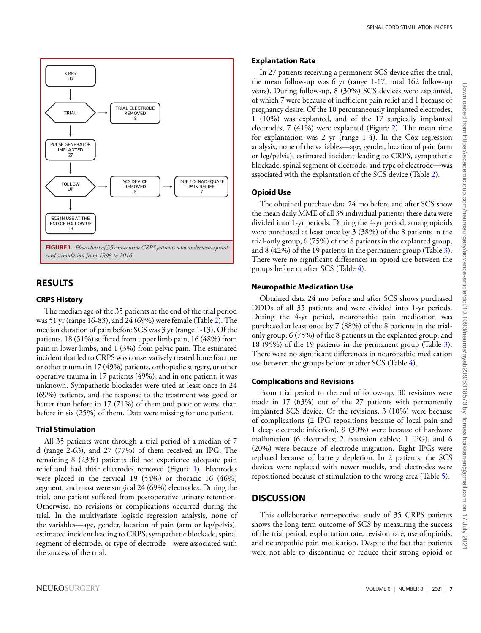<span id="page-6-0"></span>

## **RESULTS**

#### **CRPS History**

The median age of the 35 patients at the end of the trial period was 51 yr (range 16-83), and 24 (69%) were female (Table [2\)](#page-5-0). The median duration of pain before SCS was 3 yr (range 1-13). Of the patients, 18 (51%) suffered from upper limb pain, 16 (48%) from pain in lower limbs, and 1 (3%) from pelvic pain. The estimated incident that led to CRPS was conservatively treated bone fracture or other trauma in 17 (49%) patients, orthopedic surgery, or other operative trauma in 17 patients (49%), and in one patient, it was unknown. Sympathetic blockades were tried at least once in 24 (69%) patients, and the response to the treatment was good or better than before in 17 (71%) of them and poor or worse than before in six (25%) of them. Data were missing for one patient.

#### **Trial Stimulation**

All 35 patients went through a trial period of a median of 7 d (range 2-63), and 27 (77%) of them received an IPG. The remaining 8 (23%) patients did not experience adequate pain relief and had their electrodes removed (Figure [1\)](#page-6-0). Electrodes were placed in the cervical 19 (54%) or thoracic 16 (46%) segment, and most were surgical 24 (69%) electrodes. During the trial, one patient suffered from postoperative urinary retention. Otherwise, no revisions or complications occurred during the trial. In the multivariate logistic regression analysis, none of the variables—age, gender, location of pain (arm or leg/pelvis), estimated incident leading to CRPS, sympathetic blockade, spinal segment of electrode, or type of electrode—were associated with the success of the trial.

#### **Explantation Rate**

In 27 patients receiving a permanent SCS device after the trial, the mean follow-up was 6 yr (range 1-17, total 162 follow-up years). During follow-up, 8 (30%) SCS devices were explanted, of which 7 were because of inefficient pain relief and 1 because of pregnancy desire. Of the 10 percutaneously implanted electrodes, 1 (10%) was explanted, and of the 17 surgically implanted electrodes, 7 (41%) were explanted (Figure [2\)](#page-7-0). The mean time for explantation was 2 yr (range 1-4). In the Cox regression analysis, none of the variables—age, gender, location of pain (arm or leg/pelvis), estimated incident leading to CRPS, sympathetic blockade, spinal segment of electrode, and type of electrode—was associated with the explantation of the SCS device (Table [2\)](#page-5-0).

## **Opioid Use**

The obtained purchase data 24 mo before and after SCS show the mean daily MME of all 35 individual patients; these data were divided into 1-yr periods. During the 4-yr period, strong opioids were purchased at least once by 3 (38%) of the 8 patients in the trial-only group, 6 (75%) of the 8 patients in the explanted group, and 8 (42%) of the 19 patients in the permanent group (Table [3\)](#page-8-0). There were no significant differences in opioid use between the groups before or after SCS (Table [4\)](#page-9-0).

#### **Neuropathic Medication Use**

Obtained data 24 mo before and after SCS shows purchased DDDs of all 35 patients and were divided into 1-yr periods. During the 4-yr period, neuropathic pain medication was purchased at least once by 7 (88%) of the 8 patients in the trialonly group, 6 (75%) of the 8 patients in the explanted group, and 18 (95%) of the 19 patients in the permanent group (Table [3\)](#page-8-0). There were no significant differences in neuropathic medication use between the groups before or after SCS (Table [4\)](#page-9-0).

## **Complications and Revisions**

From trial period to the end of follow-up, 30 revisions were made in 17 (63%) out of the 27 patients with permanently implanted SCS device. Of the revisions, 3 (10%) were because of complications (2 IPG repositions because of local pain and 1 deep electrode infection), 9 (30%) were because of hardware malfunction (6 electrodes; 2 extension cables; 1 IPG), and 6 (20%) were because of electrode migration. Eight IPGs were replaced because of battery depletion. In 2 patients, the SCS devices were replaced with newer models, and electrodes were repositioned because of stimulation to the wrong area (Table [5\)](#page-10-0).

## **DISCUSSION**

This collaborative retrospective study of 35 CRPS patients shows the long-term outcome of SCS by measuring the success of the trial period, explantation rate, revision rate, use of opioids, and neuropathic pain medication. Despite the fact that patients were not able to discontinue or reduce their strong opioid or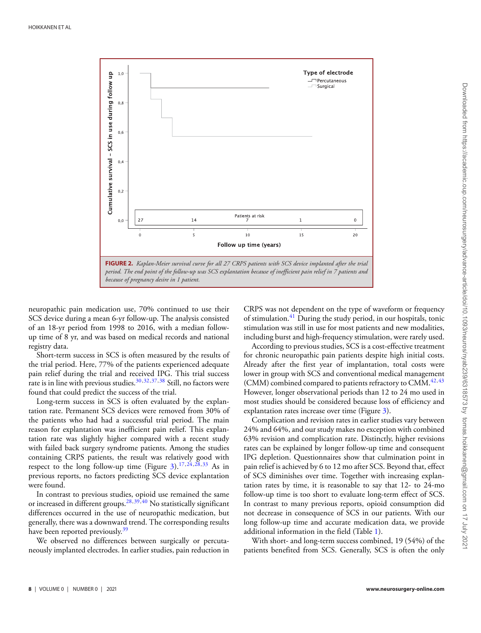<span id="page-7-0"></span>

neuropathic pain medication use, 70% continued to use their SCS device during a mean 6-yr follow-up. The analysis consisted of an 18-yr period from 1998 to 2016, with a median followup time of 8 yr, and was based on medical records and national registry data.

Short-term success in SCS is often measured by the results of the trial period. Here, 77% of the patients experienced adequate pain relief during the trial and received IPG. This trial success rate is in line with previous studies.<sup>30[,32,](#page-12-4)[37,](#page-12-5)[38](#page-12-6)</sup> Still, no factors were found that could predict the success of the trial.

Long-term succes[s](#page-8-0) in SCS is often evaluated by the explantation rate. Permanent SCS devices were removed from 30% of the patients who had had a successful trial period. The main reason for explantation was inefficient pain relief. This explantation rate was slightly higher compared with a recent study with failed back surgery syndrome patients. Among the studies containing CRPS patients, the result was relatively good with respect to the long follow-up time (Figure [3\)](#page-10-1).<sup>[17,](#page-11-28)[24,](#page-11-18)[28,](#page-11-17)[33](#page-12-0)</sup> As in previous reports, no factors predicting SCS device explantation were found.

In contrast to previous studies, opioid use remained the same or increased in different groups.<sup>28,[39,](#page-12-7)[40](#page-12-8)</sup> No statistically significant differences occurred in the use of neuropathic medication, but generally, there was a downward trend. The corresponding results have been reported previously.<sup>[39](#page-12-7)</sup>

We observed no differences between surgically or percutaneously implanted electrodes. In earlier studies, pain reduction in

CRPS was not dependent on the type of waveform or frequency of stimulation.<sup>[41](#page-12-9)</sup> During the study period, in our hospitals, tonic stimulation was still in use for most patients and new modalities, including burst and high-frequency stimulation, were rarely used.

According to previous studies, SCS is a cost-effective treatment for chronic neuropathic pain patients despite high initial costs. Already after the first year of implantation, total costs were lower in group with SCS and conventional medical management (CMM) combined compared to patients refractory to CMM. $42,43$  $42,43$ However, longer observational periods than 12 to 24 mo used in most studies should be considered because loss of efficiency and explantation rates increase over time (Figure [3\)](#page-10-1).

Complication and revision rates in earlier studies vary between 24% and 64%, and our study makes no exception with combined 63% revision and complication rate. Distinctly, higher revisions rates can be explained by longer follow-up time and consequent IPG depletion. Questionnaires show that culmination point in pain relief is achieved by 6 to 12 mo after SCS. Beyond that, effect of SCS diminishes over time. Together with increasing explantation rates by time, it is reasonable to say that 12- to 24-mo follow-up time is too short to evaluate long-term effect of SCS. In contrast to many previous reports, opioid consumption did not decrease in consequence of SCS in our patients. With our long follow-up time and accurate medication data, we provide additional information in the field (Table [1\)](#page-2-0).

With short- and long-term success combined, 19 (54%) of the patients benefited from SCS. Generally, SCS is often the only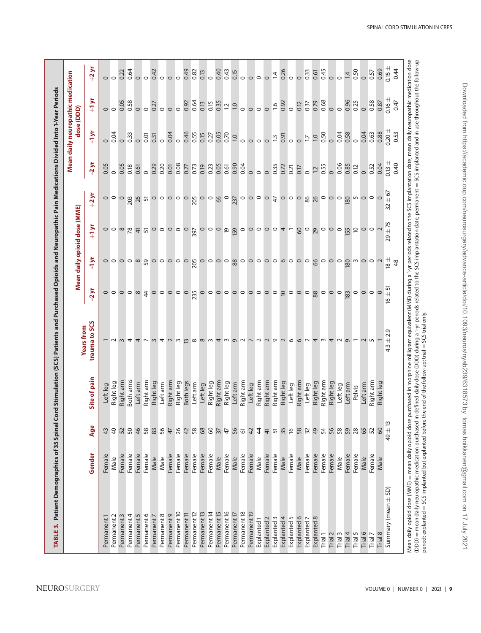<span id="page-8-0"></span>

| $\circ$<br>$\circ$<br>$\circ$<br>$\circ$<br>$\circ$<br>$\circ$<br>$\circ$<br>$\circ$<br>$\circ$<br>$\circ$<br>$\circ$<br>$\circ$<br>$\circ$<br>$\circ$<br>$\circ$<br>$+1$ yr<br>$0.16 \pm$<br>0.58<br>0.64<br>0.96<br>0.25<br>0.05<br>0.35<br>0.68<br>0.58<br>0.79<br>0.47<br>0.92<br>0.15<br>0.37<br>0.87<br>0.13<br>0.92<br>0.12<br>0.27<br>$\overline{c}$<br>$\overline{0}$<br>$\frac{6}{2}$<br>$\circ$<br>$\circ$<br>dose (DDD)<br>$\circ$<br>$\circ$<br>$\circ$<br>$\circ$<br>$\circ$<br>$\circ$<br>$\circ$<br>$\circ$<br>$\circ$<br>$\circ$<br>$\circ$<br>$\circ$<br>$0.20 \pm$<br>$-1yr$<br>0.88<br>0.46<br>0.05<br>0.04<br>0.70<br>0.04<br>0.58<br>0.63<br>0.53<br>0.04<br>0.33<br>0.55<br>0.50<br>0.04<br>0.27<br>0.01<br>0.15<br>0.91<br>0.31<br>$\overline{0}$<br>$\overline{0}$<br>$\overline{13}$<br>$\circ$<br>L1<br>$\circ$<br>$\circ$<br>$\circ$<br>$\circ$<br>$\circ$<br>$\circ$<br>$\circ$<br>$\circ$<br>$\circ$<br>$\circ$ $\circ$<br>$0.13 \pm$<br>$-2yr$<br>0.04<br>0.05<br>0.90<br>0.06<br>0.40<br>0.05<br>020<br>0.08<br>0.04<br>0.85<br>0.29<br>0.23<br>0.35<br>0.55<br>0.52<br>0.05<br>0.18<br>0.01<br>0.73<br>0.61<br>0.72<br>0.27<br>0.19<br>0.21<br>0.12<br>0.61<br>0.17<br>$\overline{\omega}$<br>$\circ$<br>$\circ$<br>$\circ$<br>$\circ$<br>$\circ$<br>$\circ$<br>$\circ$<br>$\frac{1}{6}$<br>$+2yr$<br>$\circ \circ \circ$<br>$\circ \circ \circ$ $\circ$<br>26<br>180<br>$\begin{array}{c} 5 \end{array}$<br>$\circ$<br>$\circ$<br>$\circ$<br>203<br>$\circ$ $\circ$<br>$\circ$ $\circ$<br>$\circ$<br>$\circ$ $\circ$<br>99<br>$\circ$<br>$\circ$<br>$\circ \circ \circ \beta$<br>$\circ$<br>26<br>5<br>205<br>237<br>52<br>Mean daily opioid dose (MME)<br>$\pm 75$<br>$+1$ yr<br>$\circ$ $\circ$ $\infty$<br>$\begin{array}{c}\n0 & 0 & 0 & 0 \\ \hline\n0 & 0 & 0 & 0 \\ \hline\n0 & 0 & 0 & 0\n\end{array}$<br>$\circ$<br>$\overline{5}$<br>159<br>$\circ$<br>$\circ$ $\circ$<br>$\circ$ $\circ$<br>$\circ$<br>$\circ \circ \circ$<br>$\approx$<br>$\circ$ $\circ$<br>$\frac{4}{5}$<br>$\circ$ $\circ$<br>$\overline{4}$<br>60<br>29<br>155<br>Ε<br>29<br>$\frac{5}{1}$<br>$\frac{+}{8}$<br>8 <sup>9</sup><br>$\circ$<br>$\circ \circ \circ$<br>$\circ \circ \circ$<br>$\circ$ $\circ$<br>$\sim$<br>$\circ$ $\circ$<br>$\circ$ $\circ$<br>$\circ$<br>$\circ$<br>$\circ$<br>$\circ$<br>205<br>$\circ$<br>$\circ$<br>88<br>$\circ$<br>$\circ$ $\circ$<br>$\circ$ $\circ$<br>$\circ$<br>66<br>180<br>$\sim$<br>$\circ$<br>48<br>.<br>이<br>사<br>$-2yr$<br>$\circ$ $\circ$<br>$\circ$ $\circ$<br>$\infty$<br>$\circ$<br>$\circ$ $\circ$<br>$\circ$ $\circ$<br>$\circ$ $\circ$<br>$\circ$<br>$\circ$<br>88<br>$\circ$<br>$\circ$<br>$\circ$<br>$\circ$<br>$\circ$<br>$\circ$<br>$\frac{4}{3}$<br>$\circ$ $\circ$<br>$\circ$<br>$\circ$<br>235<br>$\circ$<br>$\circ$<br>$\overline{a}$<br>$\circ$<br>183<br>$\circ$<br>$\circ$<br>$\overline{6}$<br>trauma to SCS<br><b>Years from</b><br>Q<br>$\frac{1}{2}$<br>$\sim$ 0<br>$\mathbb O$<br>$\omega$ 4<br>$\omega$ 4<br>$\sim$<br>$\overline{\mathbf{c}}$<br>$\sigma$<br>$\sim$<br>$\sim$<br>$\sim$<br>$\circ$<br>$\circ$<br>$\sim$<br>$\sim$<br>4<br>$4$ $\sim$<br>$\sim$<br>$\infty$<br>$\infty$<br>$\sim$<br>4<br>w<br>$\overline{\phantom{0}}$<br>4<br>4.3<br>Site of pain<br>Both arms<br>Right arm<br>Right arm<br>Right arm<br>Right arm<br>Right arm<br>Right arm<br>Both legs<br>Right arm<br>Right arm<br>Right arm<br>Right arm<br>Right leg<br>Right leg<br>Right leg<br>Right leg<br>Right leg<br>Right arm<br>Right leg<br>Right leg<br>Right leg<br>Right leg<br>Left arm<br>Leftarm<br>Leftarm<br>Leftarm<br>Leftarm<br>Left leg<br>Left arm<br>Left leg<br>Left leg<br>Left leg<br>Left leg<br>Left leg<br>Pelvis<br>49 ± 13<br>Age<br>60<br>50<br>46<br>58<br>$83\,$<br>56<br>26<br>58<br>68<br>$\infty$<br>56<br>$\overline{4}$<br>58<br>49<br>54<br>58<br>59<br>28<br>$\overline{a}$<br>52<br>42<br>$\approx$<br>65<br>52<br>43<br>$\overline{\mathcal{E}}$<br>42<br>57<br>55<br>$\approx$<br>47<br>47<br>6<br>$\Delta$<br>Gender<br>Female<br>Female<br>Female<br>Female<br>Female<br>Female<br>Female<br>Female<br>Female<br>Female<br>Female<br>Female<br>Female<br>Female<br>Female<br>Female<br>Female<br>Female<br>Female<br>Female<br>Female<br>Female<br>Female<br>Female<br>Male<br>Male<br>Male<br>Male<br>Male<br>Male<br>Male<br>Male<br>Male<br>Male<br>Male<br>Summary (mean $\pm$ SD)<br>Permanent <sub>10</sub><br>Permanent <sub>14</sub><br>Permanent 16<br>Permanent <sub>18</sub><br>Permanent 15<br>Permanent <sub>12</sub><br>Permanent <sub>13</sub><br>Permanent <sub>19</sub><br>Permanent 17<br>Permanent 9<br>Permanent <sub>11</sub><br>Permanent 6<br>Permanent 8<br>Permanent 4<br>Permanent 3<br>Permanent 5<br>Permanent <sub>2</sub><br>Permanent 7<br>Permanent 1<br>Explanted 3<br>Explanted 4<br>Explanted 5<br>Explanted 6<br>Explanted 8<br>Explanted <sub>2</sub><br>Explanted 7<br>Explanted <sub>1</sub><br>Trial 3<br>Trial 4<br>Trial 5<br>Trial 6<br>Trial 8<br>Trial 1<br>Trial <sub>2</sub><br>Trial 7 |  |  |  |  |  | Mean daily neuropathic medication |                |
|-------------------------------------------------------------------------------------------------------------------------------------------------------------------------------------------------------------------------------------------------------------------------------------------------------------------------------------------------------------------------------------------------------------------------------------------------------------------------------------------------------------------------------------------------------------------------------------------------------------------------------------------------------------------------------------------------------------------------------------------------------------------------------------------------------------------------------------------------------------------------------------------------------------------------------------------------------------------------------------------------------------------------------------------------------------------------------------------------------------------------------------------------------------------------------------------------------------------------------------------------------------------------------------------------------------------------------------------------------------------------------------------------------------------------------------------------------------------------------------------------------------------------------------------------------------------------------------------------------------------------------------------------------------------------------------------------------------------------------------------------------------------------------------------------------------------------------------------------------------------------------------------------------------------------------------------------------------------------------------------------------------------------------------------------------------------------------------------------------------------------------------------------------------------------------------------------------------------------------------------------------------------------------------------------------------------------------------------------------------------------------------------------------------------------------------------------------------------------------------------------------------------------------------------------------------------------------------------------------------------------------------------------------------------------------------------------------------------------------------------------------------------------------------------------------------------------------------------------------------------------------------------------------------------------------------------------------------------------------------------------------------------------------------------------------------------------------------------------------------------------------------------------------------------------------------------------------------------------------------------------------------------------------------------------------------------------------------------------------------------------------------------------------------------------------------------------------------------------------------------------------------------------------------------------------------------------------------------------------------------------------------------------------------------------------------------------------------------------------------------------------------------------------------------------------------------------------------------------------------------------------------------------------------------------------------------------------------------------------------------------------------------------------------------------------------------------------------------------------------------------------------------------------------------------------------------------------------------------------------------------------------------------------------------------------------------------------------------------------------------------------------------------------------------------------------------------------------------------------------------------------------------------------------------------------------------------------------------------------------------------------------------------------------------------------------------------------------------------------------------------------------------------------------------------------------------------------------------------------------------------------------------------------------------------------------------------------------------------------------------------------------------------------------------------------|--|--|--|--|--|-----------------------------------|----------------|
|                                                                                                                                                                                                                                                                                                                                                                                                                                                                                                                                                                                                                                                                                                                                                                                                                                                                                                                                                                                                                                                                                                                                                                                                                                                                                                                                                                                                                                                                                                                                                                                                                                                                                                                                                                                                                                                                                                                                                                                                                                                                                                                                                                                                                                                                                                                                                                                                                                                                                                                                                                                                                                                                                                                                                                                                                                                                                                                                                                                                                                                                                                                                                                                                                                                                                                                                                                                                                                                                                                                                                                                                                                                                                                                                                                                                                                                                                                                                                                                                                                                                                                                                                                                                                                                                                                                                                                                                                                                                                                                                                                                                                                                                                                                                                                                                                                                                                                                                                                                                                                                       |  |  |  |  |  |                                   |                |
|                                                                                                                                                                                                                                                                                                                                                                                                                                                                                                                                                                                                                                                                                                                                                                                                                                                                                                                                                                                                                                                                                                                                                                                                                                                                                                                                                                                                                                                                                                                                                                                                                                                                                                                                                                                                                                                                                                                                                                                                                                                                                                                                                                                                                                                                                                                                                                                                                                                                                                                                                                                                                                                                                                                                                                                                                                                                                                                                                                                                                                                                                                                                                                                                                                                                                                                                                                                                                                                                                                                                                                                                                                                                                                                                                                                                                                                                                                                                                                                                                                                                                                                                                                                                                                                                                                                                                                                                                                                                                                                                                                                                                                                                                                                                                                                                                                                                                                                                                                                                                                                       |  |  |  |  |  |                                   | $+2y$ r        |
|                                                                                                                                                                                                                                                                                                                                                                                                                                                                                                                                                                                                                                                                                                                                                                                                                                                                                                                                                                                                                                                                                                                                                                                                                                                                                                                                                                                                                                                                                                                                                                                                                                                                                                                                                                                                                                                                                                                                                                                                                                                                                                                                                                                                                                                                                                                                                                                                                                                                                                                                                                                                                                                                                                                                                                                                                                                                                                                                                                                                                                                                                                                                                                                                                                                                                                                                                                                                                                                                                                                                                                                                                                                                                                                                                                                                                                                                                                                                                                                                                                                                                                                                                                                                                                                                                                                                                                                                                                                                                                                                                                                                                                                                                                                                                                                                                                                                                                                                                                                                                                                       |  |  |  |  |  |                                   |                |
|                                                                                                                                                                                                                                                                                                                                                                                                                                                                                                                                                                                                                                                                                                                                                                                                                                                                                                                                                                                                                                                                                                                                                                                                                                                                                                                                                                                                                                                                                                                                                                                                                                                                                                                                                                                                                                                                                                                                                                                                                                                                                                                                                                                                                                                                                                                                                                                                                                                                                                                                                                                                                                                                                                                                                                                                                                                                                                                                                                                                                                                                                                                                                                                                                                                                                                                                                                                                                                                                                                                                                                                                                                                                                                                                                                                                                                                                                                                                                                                                                                                                                                                                                                                                                                                                                                                                                                                                                                                                                                                                                                                                                                                                                                                                                                                                                                                                                                                                                                                                                                                       |  |  |  |  |  |                                   |                |
|                                                                                                                                                                                                                                                                                                                                                                                                                                                                                                                                                                                                                                                                                                                                                                                                                                                                                                                                                                                                                                                                                                                                                                                                                                                                                                                                                                                                                                                                                                                                                                                                                                                                                                                                                                                                                                                                                                                                                                                                                                                                                                                                                                                                                                                                                                                                                                                                                                                                                                                                                                                                                                                                                                                                                                                                                                                                                                                                                                                                                                                                                                                                                                                                                                                                                                                                                                                                                                                                                                                                                                                                                                                                                                                                                                                                                                                                                                                                                                                                                                                                                                                                                                                                                                                                                                                                                                                                                                                                                                                                                                                                                                                                                                                                                                                                                                                                                                                                                                                                                                                       |  |  |  |  |  |                                   | 0.22           |
|                                                                                                                                                                                                                                                                                                                                                                                                                                                                                                                                                                                                                                                                                                                                                                                                                                                                                                                                                                                                                                                                                                                                                                                                                                                                                                                                                                                                                                                                                                                                                                                                                                                                                                                                                                                                                                                                                                                                                                                                                                                                                                                                                                                                                                                                                                                                                                                                                                                                                                                                                                                                                                                                                                                                                                                                                                                                                                                                                                                                                                                                                                                                                                                                                                                                                                                                                                                                                                                                                                                                                                                                                                                                                                                                                                                                                                                                                                                                                                                                                                                                                                                                                                                                                                                                                                                                                                                                                                                                                                                                                                                                                                                                                                                                                                                                                                                                                                                                                                                                                                                       |  |  |  |  |  |                                   | 0.64           |
|                                                                                                                                                                                                                                                                                                                                                                                                                                                                                                                                                                                                                                                                                                                                                                                                                                                                                                                                                                                                                                                                                                                                                                                                                                                                                                                                                                                                                                                                                                                                                                                                                                                                                                                                                                                                                                                                                                                                                                                                                                                                                                                                                                                                                                                                                                                                                                                                                                                                                                                                                                                                                                                                                                                                                                                                                                                                                                                                                                                                                                                                                                                                                                                                                                                                                                                                                                                                                                                                                                                                                                                                                                                                                                                                                                                                                                                                                                                                                                                                                                                                                                                                                                                                                                                                                                                                                                                                                                                                                                                                                                                                                                                                                                                                                                                                                                                                                                                                                                                                                                                       |  |  |  |  |  |                                   |                |
|                                                                                                                                                                                                                                                                                                                                                                                                                                                                                                                                                                                                                                                                                                                                                                                                                                                                                                                                                                                                                                                                                                                                                                                                                                                                                                                                                                                                                                                                                                                                                                                                                                                                                                                                                                                                                                                                                                                                                                                                                                                                                                                                                                                                                                                                                                                                                                                                                                                                                                                                                                                                                                                                                                                                                                                                                                                                                                                                                                                                                                                                                                                                                                                                                                                                                                                                                                                                                                                                                                                                                                                                                                                                                                                                                                                                                                                                                                                                                                                                                                                                                                                                                                                                                                                                                                                                                                                                                                                                                                                                                                                                                                                                                                                                                                                                                                                                                                                                                                                                                                                       |  |  |  |  |  |                                   |                |
|                                                                                                                                                                                                                                                                                                                                                                                                                                                                                                                                                                                                                                                                                                                                                                                                                                                                                                                                                                                                                                                                                                                                                                                                                                                                                                                                                                                                                                                                                                                                                                                                                                                                                                                                                                                                                                                                                                                                                                                                                                                                                                                                                                                                                                                                                                                                                                                                                                                                                                                                                                                                                                                                                                                                                                                                                                                                                                                                                                                                                                                                                                                                                                                                                                                                                                                                                                                                                                                                                                                                                                                                                                                                                                                                                                                                                                                                                                                                                                                                                                                                                                                                                                                                                                                                                                                                                                                                                                                                                                                                                                                                                                                                                                                                                                                                                                                                                                                                                                                                                                                       |  |  |  |  |  |                                   | 0.42           |
|                                                                                                                                                                                                                                                                                                                                                                                                                                                                                                                                                                                                                                                                                                                                                                                                                                                                                                                                                                                                                                                                                                                                                                                                                                                                                                                                                                                                                                                                                                                                                                                                                                                                                                                                                                                                                                                                                                                                                                                                                                                                                                                                                                                                                                                                                                                                                                                                                                                                                                                                                                                                                                                                                                                                                                                                                                                                                                                                                                                                                                                                                                                                                                                                                                                                                                                                                                                                                                                                                                                                                                                                                                                                                                                                                                                                                                                                                                                                                                                                                                                                                                                                                                                                                                                                                                                                                                                                                                                                                                                                                                                                                                                                                                                                                                                                                                                                                                                                                                                                                                                       |  |  |  |  |  |                                   |                |
|                                                                                                                                                                                                                                                                                                                                                                                                                                                                                                                                                                                                                                                                                                                                                                                                                                                                                                                                                                                                                                                                                                                                                                                                                                                                                                                                                                                                                                                                                                                                                                                                                                                                                                                                                                                                                                                                                                                                                                                                                                                                                                                                                                                                                                                                                                                                                                                                                                                                                                                                                                                                                                                                                                                                                                                                                                                                                                                                                                                                                                                                                                                                                                                                                                                                                                                                                                                                                                                                                                                                                                                                                                                                                                                                                                                                                                                                                                                                                                                                                                                                                                                                                                                                                                                                                                                                                                                                                                                                                                                                                                                                                                                                                                                                                                                                                                                                                                                                                                                                                                                       |  |  |  |  |  |                                   |                |
|                                                                                                                                                                                                                                                                                                                                                                                                                                                                                                                                                                                                                                                                                                                                                                                                                                                                                                                                                                                                                                                                                                                                                                                                                                                                                                                                                                                                                                                                                                                                                                                                                                                                                                                                                                                                                                                                                                                                                                                                                                                                                                                                                                                                                                                                                                                                                                                                                                                                                                                                                                                                                                                                                                                                                                                                                                                                                                                                                                                                                                                                                                                                                                                                                                                                                                                                                                                                                                                                                                                                                                                                                                                                                                                                                                                                                                                                                                                                                                                                                                                                                                                                                                                                                                                                                                                                                                                                                                                                                                                                                                                                                                                                                                                                                                                                                                                                                                                                                                                                                                                       |  |  |  |  |  |                                   |                |
|                                                                                                                                                                                                                                                                                                                                                                                                                                                                                                                                                                                                                                                                                                                                                                                                                                                                                                                                                                                                                                                                                                                                                                                                                                                                                                                                                                                                                                                                                                                                                                                                                                                                                                                                                                                                                                                                                                                                                                                                                                                                                                                                                                                                                                                                                                                                                                                                                                                                                                                                                                                                                                                                                                                                                                                                                                                                                                                                                                                                                                                                                                                                                                                                                                                                                                                                                                                                                                                                                                                                                                                                                                                                                                                                                                                                                                                                                                                                                                                                                                                                                                                                                                                                                                                                                                                                                                                                                                                                                                                                                                                                                                                                                                                                                                                                                                                                                                                                                                                                                                                       |  |  |  |  |  |                                   | 0.49           |
|                                                                                                                                                                                                                                                                                                                                                                                                                                                                                                                                                                                                                                                                                                                                                                                                                                                                                                                                                                                                                                                                                                                                                                                                                                                                                                                                                                                                                                                                                                                                                                                                                                                                                                                                                                                                                                                                                                                                                                                                                                                                                                                                                                                                                                                                                                                                                                                                                                                                                                                                                                                                                                                                                                                                                                                                                                                                                                                                                                                                                                                                                                                                                                                                                                                                                                                                                                                                                                                                                                                                                                                                                                                                                                                                                                                                                                                                                                                                                                                                                                                                                                                                                                                                                                                                                                                                                                                                                                                                                                                                                                                                                                                                                                                                                                                                                                                                                                                                                                                                                                                       |  |  |  |  |  |                                   | 0.82           |
|                                                                                                                                                                                                                                                                                                                                                                                                                                                                                                                                                                                                                                                                                                                                                                                                                                                                                                                                                                                                                                                                                                                                                                                                                                                                                                                                                                                                                                                                                                                                                                                                                                                                                                                                                                                                                                                                                                                                                                                                                                                                                                                                                                                                                                                                                                                                                                                                                                                                                                                                                                                                                                                                                                                                                                                                                                                                                                                                                                                                                                                                                                                                                                                                                                                                                                                                                                                                                                                                                                                                                                                                                                                                                                                                                                                                                                                                                                                                                                                                                                                                                                                                                                                                                                                                                                                                                                                                                                                                                                                                                                                                                                                                                                                                                                                                                                                                                                                                                                                                                                                       |  |  |  |  |  |                                   | 0.13           |
|                                                                                                                                                                                                                                                                                                                                                                                                                                                                                                                                                                                                                                                                                                                                                                                                                                                                                                                                                                                                                                                                                                                                                                                                                                                                                                                                                                                                                                                                                                                                                                                                                                                                                                                                                                                                                                                                                                                                                                                                                                                                                                                                                                                                                                                                                                                                                                                                                                                                                                                                                                                                                                                                                                                                                                                                                                                                                                                                                                                                                                                                                                                                                                                                                                                                                                                                                                                                                                                                                                                                                                                                                                                                                                                                                                                                                                                                                                                                                                                                                                                                                                                                                                                                                                                                                                                                                                                                                                                                                                                                                                                                                                                                                                                                                                                                                                                                                                                                                                                                                                                       |  |  |  |  |  |                                   |                |
|                                                                                                                                                                                                                                                                                                                                                                                                                                                                                                                                                                                                                                                                                                                                                                                                                                                                                                                                                                                                                                                                                                                                                                                                                                                                                                                                                                                                                                                                                                                                                                                                                                                                                                                                                                                                                                                                                                                                                                                                                                                                                                                                                                                                                                                                                                                                                                                                                                                                                                                                                                                                                                                                                                                                                                                                                                                                                                                                                                                                                                                                                                                                                                                                                                                                                                                                                                                                                                                                                                                                                                                                                                                                                                                                                                                                                                                                                                                                                                                                                                                                                                                                                                                                                                                                                                                                                                                                                                                                                                                                                                                                                                                                                                                                                                                                                                                                                                                                                                                                                                                       |  |  |  |  |  |                                   | 0.40           |
|                                                                                                                                                                                                                                                                                                                                                                                                                                                                                                                                                                                                                                                                                                                                                                                                                                                                                                                                                                                                                                                                                                                                                                                                                                                                                                                                                                                                                                                                                                                                                                                                                                                                                                                                                                                                                                                                                                                                                                                                                                                                                                                                                                                                                                                                                                                                                                                                                                                                                                                                                                                                                                                                                                                                                                                                                                                                                                                                                                                                                                                                                                                                                                                                                                                                                                                                                                                                                                                                                                                                                                                                                                                                                                                                                                                                                                                                                                                                                                                                                                                                                                                                                                                                                                                                                                                                                                                                                                                                                                                                                                                                                                                                                                                                                                                                                                                                                                                                                                                                                                                       |  |  |  |  |  |                                   | 0.43           |
|                                                                                                                                                                                                                                                                                                                                                                                                                                                                                                                                                                                                                                                                                                                                                                                                                                                                                                                                                                                                                                                                                                                                                                                                                                                                                                                                                                                                                                                                                                                                                                                                                                                                                                                                                                                                                                                                                                                                                                                                                                                                                                                                                                                                                                                                                                                                                                                                                                                                                                                                                                                                                                                                                                                                                                                                                                                                                                                                                                                                                                                                                                                                                                                                                                                                                                                                                                                                                                                                                                                                                                                                                                                                                                                                                                                                                                                                                                                                                                                                                                                                                                                                                                                                                                                                                                                                                                                                                                                                                                                                                                                                                                                                                                                                                                                                                                                                                                                                                                                                                                                       |  |  |  |  |  |                                   | 0.15           |
|                                                                                                                                                                                                                                                                                                                                                                                                                                                                                                                                                                                                                                                                                                                                                                                                                                                                                                                                                                                                                                                                                                                                                                                                                                                                                                                                                                                                                                                                                                                                                                                                                                                                                                                                                                                                                                                                                                                                                                                                                                                                                                                                                                                                                                                                                                                                                                                                                                                                                                                                                                                                                                                                                                                                                                                                                                                                                                                                                                                                                                                                                                                                                                                                                                                                                                                                                                                                                                                                                                                                                                                                                                                                                                                                                                                                                                                                                                                                                                                                                                                                                                                                                                                                                                                                                                                                                                                                                                                                                                                                                                                                                                                                                                                                                                                                                                                                                                                                                                                                                                                       |  |  |  |  |  |                                   |                |
|                                                                                                                                                                                                                                                                                                                                                                                                                                                                                                                                                                                                                                                                                                                                                                                                                                                                                                                                                                                                                                                                                                                                                                                                                                                                                                                                                                                                                                                                                                                                                                                                                                                                                                                                                                                                                                                                                                                                                                                                                                                                                                                                                                                                                                                                                                                                                                                                                                                                                                                                                                                                                                                                                                                                                                                                                                                                                                                                                                                                                                                                                                                                                                                                                                                                                                                                                                                                                                                                                                                                                                                                                                                                                                                                                                                                                                                                                                                                                                                                                                                                                                                                                                                                                                                                                                                                                                                                                                                                                                                                                                                                                                                                                                                                                                                                                                                                                                                                                                                                                                                       |  |  |  |  |  |                                   |                |
|                                                                                                                                                                                                                                                                                                                                                                                                                                                                                                                                                                                                                                                                                                                                                                                                                                                                                                                                                                                                                                                                                                                                                                                                                                                                                                                                                                                                                                                                                                                                                                                                                                                                                                                                                                                                                                                                                                                                                                                                                                                                                                                                                                                                                                                                                                                                                                                                                                                                                                                                                                                                                                                                                                                                                                                                                                                                                                                                                                                                                                                                                                                                                                                                                                                                                                                                                                                                                                                                                                                                                                                                                                                                                                                                                                                                                                                                                                                                                                                                                                                                                                                                                                                                                                                                                                                                                                                                                                                                                                                                                                                                                                                                                                                                                                                                                                                                                                                                                                                                                                                       |  |  |  |  |  |                                   |                |
|                                                                                                                                                                                                                                                                                                                                                                                                                                                                                                                                                                                                                                                                                                                                                                                                                                                                                                                                                                                                                                                                                                                                                                                                                                                                                                                                                                                                                                                                                                                                                                                                                                                                                                                                                                                                                                                                                                                                                                                                                                                                                                                                                                                                                                                                                                                                                                                                                                                                                                                                                                                                                                                                                                                                                                                                                                                                                                                                                                                                                                                                                                                                                                                                                                                                                                                                                                                                                                                                                                                                                                                                                                                                                                                                                                                                                                                                                                                                                                                                                                                                                                                                                                                                                                                                                                                                                                                                                                                                                                                                                                                                                                                                                                                                                                                                                                                                                                                                                                                                                                                       |  |  |  |  |  |                                   |                |
|                                                                                                                                                                                                                                                                                                                                                                                                                                                                                                                                                                                                                                                                                                                                                                                                                                                                                                                                                                                                                                                                                                                                                                                                                                                                                                                                                                                                                                                                                                                                                                                                                                                                                                                                                                                                                                                                                                                                                                                                                                                                                                                                                                                                                                                                                                                                                                                                                                                                                                                                                                                                                                                                                                                                                                                                                                                                                                                                                                                                                                                                                                                                                                                                                                                                                                                                                                                                                                                                                                                                                                                                                                                                                                                                                                                                                                                                                                                                                                                                                                                                                                                                                                                                                                                                                                                                                                                                                                                                                                                                                                                                                                                                                                                                                                                                                                                                                                                                                                                                                                                       |  |  |  |  |  |                                   | $\overline{4}$ |
|                                                                                                                                                                                                                                                                                                                                                                                                                                                                                                                                                                                                                                                                                                                                                                                                                                                                                                                                                                                                                                                                                                                                                                                                                                                                                                                                                                                                                                                                                                                                                                                                                                                                                                                                                                                                                                                                                                                                                                                                                                                                                                                                                                                                                                                                                                                                                                                                                                                                                                                                                                                                                                                                                                                                                                                                                                                                                                                                                                                                                                                                                                                                                                                                                                                                                                                                                                                                                                                                                                                                                                                                                                                                                                                                                                                                                                                                                                                                                                                                                                                                                                                                                                                                                                                                                                                                                                                                                                                                                                                                                                                                                                                                                                                                                                                                                                                                                                                                                                                                                                                       |  |  |  |  |  |                                   | 0.26           |
|                                                                                                                                                                                                                                                                                                                                                                                                                                                                                                                                                                                                                                                                                                                                                                                                                                                                                                                                                                                                                                                                                                                                                                                                                                                                                                                                                                                                                                                                                                                                                                                                                                                                                                                                                                                                                                                                                                                                                                                                                                                                                                                                                                                                                                                                                                                                                                                                                                                                                                                                                                                                                                                                                                                                                                                                                                                                                                                                                                                                                                                                                                                                                                                                                                                                                                                                                                                                                                                                                                                                                                                                                                                                                                                                                                                                                                                                                                                                                                                                                                                                                                                                                                                                                                                                                                                                                                                                                                                                                                                                                                                                                                                                                                                                                                                                                                                                                                                                                                                                                                                       |  |  |  |  |  |                                   |                |
|                                                                                                                                                                                                                                                                                                                                                                                                                                                                                                                                                                                                                                                                                                                                                                                                                                                                                                                                                                                                                                                                                                                                                                                                                                                                                                                                                                                                                                                                                                                                                                                                                                                                                                                                                                                                                                                                                                                                                                                                                                                                                                                                                                                                                                                                                                                                                                                                                                                                                                                                                                                                                                                                                                                                                                                                                                                                                                                                                                                                                                                                                                                                                                                                                                                                                                                                                                                                                                                                                                                                                                                                                                                                                                                                                                                                                                                                                                                                                                                                                                                                                                                                                                                                                                                                                                                                                                                                                                                                                                                                                                                                                                                                                                                                                                                                                                                                                                                                                                                                                                                       |  |  |  |  |  |                                   |                |
|                                                                                                                                                                                                                                                                                                                                                                                                                                                                                                                                                                                                                                                                                                                                                                                                                                                                                                                                                                                                                                                                                                                                                                                                                                                                                                                                                                                                                                                                                                                                                                                                                                                                                                                                                                                                                                                                                                                                                                                                                                                                                                                                                                                                                                                                                                                                                                                                                                                                                                                                                                                                                                                                                                                                                                                                                                                                                                                                                                                                                                                                                                                                                                                                                                                                                                                                                                                                                                                                                                                                                                                                                                                                                                                                                                                                                                                                                                                                                                                                                                                                                                                                                                                                                                                                                                                                                                                                                                                                                                                                                                                                                                                                                                                                                                                                                                                                                                                                                                                                                                                       |  |  |  |  |  |                                   | 0.33           |
|                                                                                                                                                                                                                                                                                                                                                                                                                                                                                                                                                                                                                                                                                                                                                                                                                                                                                                                                                                                                                                                                                                                                                                                                                                                                                                                                                                                                                                                                                                                                                                                                                                                                                                                                                                                                                                                                                                                                                                                                                                                                                                                                                                                                                                                                                                                                                                                                                                                                                                                                                                                                                                                                                                                                                                                                                                                                                                                                                                                                                                                                                                                                                                                                                                                                                                                                                                                                                                                                                                                                                                                                                                                                                                                                                                                                                                                                                                                                                                                                                                                                                                                                                                                                                                                                                                                                                                                                                                                                                                                                                                                                                                                                                                                                                                                                                                                                                                                                                                                                                                                       |  |  |  |  |  |                                   | 0.61           |
|                                                                                                                                                                                                                                                                                                                                                                                                                                                                                                                                                                                                                                                                                                                                                                                                                                                                                                                                                                                                                                                                                                                                                                                                                                                                                                                                                                                                                                                                                                                                                                                                                                                                                                                                                                                                                                                                                                                                                                                                                                                                                                                                                                                                                                                                                                                                                                                                                                                                                                                                                                                                                                                                                                                                                                                                                                                                                                                                                                                                                                                                                                                                                                                                                                                                                                                                                                                                                                                                                                                                                                                                                                                                                                                                                                                                                                                                                                                                                                                                                                                                                                                                                                                                                                                                                                                                                                                                                                                                                                                                                                                                                                                                                                                                                                                                                                                                                                                                                                                                                                                       |  |  |  |  |  |                                   | 0.45           |
|                                                                                                                                                                                                                                                                                                                                                                                                                                                                                                                                                                                                                                                                                                                                                                                                                                                                                                                                                                                                                                                                                                                                                                                                                                                                                                                                                                                                                                                                                                                                                                                                                                                                                                                                                                                                                                                                                                                                                                                                                                                                                                                                                                                                                                                                                                                                                                                                                                                                                                                                                                                                                                                                                                                                                                                                                                                                                                                                                                                                                                                                                                                                                                                                                                                                                                                                                                                                                                                                                                                                                                                                                                                                                                                                                                                                                                                                                                                                                                                                                                                                                                                                                                                                                                                                                                                                                                                                                                                                                                                                                                                                                                                                                                                                                                                                                                                                                                                                                                                                                                                       |  |  |  |  |  |                                   |                |
|                                                                                                                                                                                                                                                                                                                                                                                                                                                                                                                                                                                                                                                                                                                                                                                                                                                                                                                                                                                                                                                                                                                                                                                                                                                                                                                                                                                                                                                                                                                                                                                                                                                                                                                                                                                                                                                                                                                                                                                                                                                                                                                                                                                                                                                                                                                                                                                                                                                                                                                                                                                                                                                                                                                                                                                                                                                                                                                                                                                                                                                                                                                                                                                                                                                                                                                                                                                                                                                                                                                                                                                                                                                                                                                                                                                                                                                                                                                                                                                                                                                                                                                                                                                                                                                                                                                                                                                                                                                                                                                                                                                                                                                                                                                                                                                                                                                                                                                                                                                                                                                       |  |  |  |  |  |                                   |                |
|                                                                                                                                                                                                                                                                                                                                                                                                                                                                                                                                                                                                                                                                                                                                                                                                                                                                                                                                                                                                                                                                                                                                                                                                                                                                                                                                                                                                                                                                                                                                                                                                                                                                                                                                                                                                                                                                                                                                                                                                                                                                                                                                                                                                                                                                                                                                                                                                                                                                                                                                                                                                                                                                                                                                                                                                                                                                                                                                                                                                                                                                                                                                                                                                                                                                                                                                                                                                                                                                                                                                                                                                                                                                                                                                                                                                                                                                                                                                                                                                                                                                                                                                                                                                                                                                                                                                                                                                                                                                                                                                                                                                                                                                                                                                                                                                                                                                                                                                                                                                                                                       |  |  |  |  |  |                                   | 14             |
|                                                                                                                                                                                                                                                                                                                                                                                                                                                                                                                                                                                                                                                                                                                                                                                                                                                                                                                                                                                                                                                                                                                                                                                                                                                                                                                                                                                                                                                                                                                                                                                                                                                                                                                                                                                                                                                                                                                                                                                                                                                                                                                                                                                                                                                                                                                                                                                                                                                                                                                                                                                                                                                                                                                                                                                                                                                                                                                                                                                                                                                                                                                                                                                                                                                                                                                                                                                                                                                                                                                                                                                                                                                                                                                                                                                                                                                                                                                                                                                                                                                                                                                                                                                                                                                                                                                                                                                                                                                                                                                                                                                                                                                                                                                                                                                                                                                                                                                                                                                                                                                       |  |  |  |  |  |                                   | 0.50           |
|                                                                                                                                                                                                                                                                                                                                                                                                                                                                                                                                                                                                                                                                                                                                                                                                                                                                                                                                                                                                                                                                                                                                                                                                                                                                                                                                                                                                                                                                                                                                                                                                                                                                                                                                                                                                                                                                                                                                                                                                                                                                                                                                                                                                                                                                                                                                                                                                                                                                                                                                                                                                                                                                                                                                                                                                                                                                                                                                                                                                                                                                                                                                                                                                                                                                                                                                                                                                                                                                                                                                                                                                                                                                                                                                                                                                                                                                                                                                                                                                                                                                                                                                                                                                                                                                                                                                                                                                                                                                                                                                                                                                                                                                                                                                                                                                                                                                                                                                                                                                                                                       |  |  |  |  |  |                                   |                |
|                                                                                                                                                                                                                                                                                                                                                                                                                                                                                                                                                                                                                                                                                                                                                                                                                                                                                                                                                                                                                                                                                                                                                                                                                                                                                                                                                                                                                                                                                                                                                                                                                                                                                                                                                                                                                                                                                                                                                                                                                                                                                                                                                                                                                                                                                                                                                                                                                                                                                                                                                                                                                                                                                                                                                                                                                                                                                                                                                                                                                                                                                                                                                                                                                                                                                                                                                                                                                                                                                                                                                                                                                                                                                                                                                                                                                                                                                                                                                                                                                                                                                                                                                                                                                                                                                                                                                                                                                                                                                                                                                                                                                                                                                                                                                                                                                                                                                                                                                                                                                                                       |  |  |  |  |  |                                   | 0.57           |
|                                                                                                                                                                                                                                                                                                                                                                                                                                                                                                                                                                                                                                                                                                                                                                                                                                                                                                                                                                                                                                                                                                                                                                                                                                                                                                                                                                                                                                                                                                                                                                                                                                                                                                                                                                                                                                                                                                                                                                                                                                                                                                                                                                                                                                                                                                                                                                                                                                                                                                                                                                                                                                                                                                                                                                                                                                                                                                                                                                                                                                                                                                                                                                                                                                                                                                                                                                                                                                                                                                                                                                                                                                                                                                                                                                                                                                                                                                                                                                                                                                                                                                                                                                                                                                                                                                                                                                                                                                                                                                                                                                                                                                                                                                                                                                                                                                                                                                                                                                                                                                                       |  |  |  |  |  |                                   | 0.69           |
|                                                                                                                                                                                                                                                                                                                                                                                                                                                                                                                                                                                                                                                                                                                                                                                                                                                                                                                                                                                                                                                                                                                                                                                                                                                                                                                                                                                                                                                                                                                                                                                                                                                                                                                                                                                                                                                                                                                                                                                                                                                                                                                                                                                                                                                                                                                                                                                                                                                                                                                                                                                                                                                                                                                                                                                                                                                                                                                                                                                                                                                                                                                                                                                                                                                                                                                                                                                                                                                                                                                                                                                                                                                                                                                                                                                                                                                                                                                                                                                                                                                                                                                                                                                                                                                                                                                                                                                                                                                                                                                                                                                                                                                                                                                                                                                                                                                                                                                                                                                                                                                       |  |  |  |  |  |                                   | $0.15 \pm$     |
|                                                                                                                                                                                                                                                                                                                                                                                                                                                                                                                                                                                                                                                                                                                                                                                                                                                                                                                                                                                                                                                                                                                                                                                                                                                                                                                                                                                                                                                                                                                                                                                                                                                                                                                                                                                                                                                                                                                                                                                                                                                                                                                                                                                                                                                                                                                                                                                                                                                                                                                                                                                                                                                                                                                                                                                                                                                                                                                                                                                                                                                                                                                                                                                                                                                                                                                                                                                                                                                                                                                                                                                                                                                                                                                                                                                                                                                                                                                                                                                                                                                                                                                                                                                                                                                                                                                                                                                                                                                                                                                                                                                                                                                                                                                                                                                                                                                                                                                                                                                                                                                       |  |  |  |  |  |                                   | 0.44           |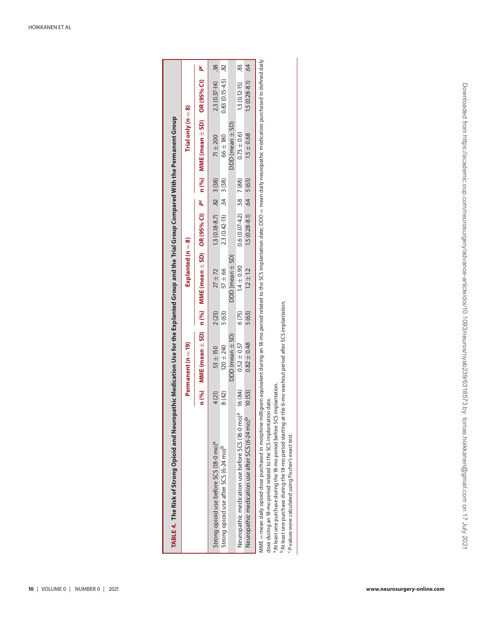| TABLE 4. The Risk of Strong Opioid and Neuropathic Medication Use for the Explanted Group and the Trial Group Compared With the Permanent Group                                                         |        |                       |        |                                                                                                                         |                           |            |                      |                  |     |
|---------------------------------------------------------------------------------------------------------------------------------------------------------------------------------------------------------|--------|-----------------------|--------|-------------------------------------------------------------------------------------------------------------------------|---------------------------|------------|----------------------|------------------|-----|
|                                                                                                                                                                                                         |        | Permanent (n = 19)    |        | Explanted $(n = 8)$                                                                                                     |                           |            | Trial only $(n = 8)$ |                  |     |
|                                                                                                                                                                                                         |        |                       |        | n (%) MME (mean ± SD) n (%) MME (mean ± SD) OR (95% CI) P <sup>c</sup> n (%) MME (mean ± SD) OR (95% CI) P <sup>c</sup> |                           |            |                      |                  |     |
| Strong opioid use before SCS (18-0 mo) <sup>a</sup>                                                                                                                                                     | 4 (21) | $53 + 150$            | 2(25)  | $27 + 72$                                                                                                               | $1.3(0.18-8.7)$ .82 3(38) |            | $71 \pm 200$         | $2.3(0.37 - 14)$ | 38  |
| Strong opioid use after SCS (6-24 mo) <sup>p</sup>                                                                                                                                                      | 8 (42) | $120 \pm 240$         | 5 (63) | $57 \pm 66$                                                                                                             | $2.3(0.42-13)$            | $34$ 3(38) | $66 \pm 180$         | $0.83(0.15-4.5)$ | 82  |
|                                                                                                                                                                                                         |        | $DDD$ (mean $\pm$ SD) |        | $DD$ (mean $\pm$ SD)                                                                                                    |                           |            | $DD$ (mean $\pm$ SD) |                  |     |
| Neuropathic medication use before SCS (18-0 mo) <sup>a</sup> 16 (84)                                                                                                                                    |        | $0.52 \pm 0.57$       | 6(75)  | $1.4 \pm 0.90$                                                                                                          | $0.6(0.07-4.2)$ .58 7(88) |            | $0.73 \pm 0.61$      | $1.3(0.12-15)$   | 83  |
| Neuropathic medication use after SCS (6-24 mo) <sup>b</sup>                                                                                                                                             | 10(53) | $0.82 \pm 0.48$       | 5(63)  | $12 + 12$                                                                                                               | $1.5(0.28-8.1)$ .64 5(63) |            | $1.5 \pm 0.68$       | $1.5(0.28-8.1)$  | -64 |
| MME = mean daily opioid dose purchased in morphine milligram equivalent during an 18-mo period related to the SCS implantation date; DDD = mean daily neuropathic medication purchased in defined daily |        |                       |        |                                                                                                                         |                           |            |                      |                  |     |

dose during an 18-mo period related to the SCS implantation date. dose during an 18-mo period related to the SCS implantation date.

<sup>a</sup> At least one purchase during the 18-mo period before SCS implantation.

a At least one purchase during the 18-mo period before SCS implantation.<br>"At least one purchase during the 18-mo period starting at the 6-mo washout period after SCS implantation. bAt least one purchase during the 18-mo period starting at the 6-mo washout period after SCS implantation.

<span id="page-9-0"></span><sup>c</sup>P-values were calculated using Fischer's exact test. cP-values were calculated using Fischer's exact test.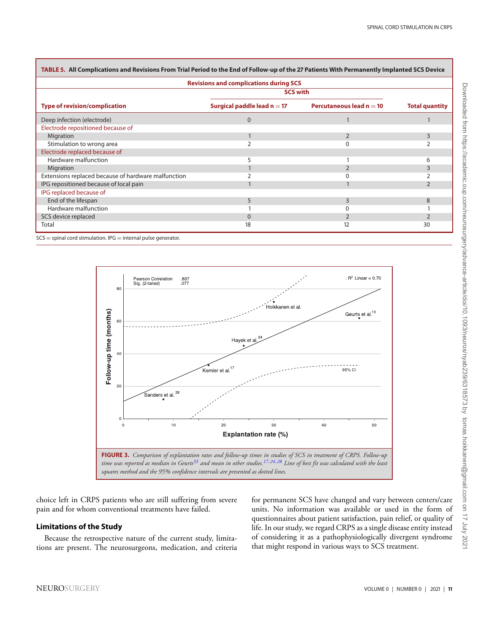| TABLE 5.  All Complications and Revisions From Trial Period to the End of Follow-up of the 27 Patients With Permanently Implanted SCS Device |                                               |                            |                       |
|----------------------------------------------------------------------------------------------------------------------------------------------|-----------------------------------------------|----------------------------|-----------------------|
|                                                                                                                                              | <b>Revisions and complications during SCS</b> |                            |                       |
|                                                                                                                                              | <b>SCS with</b>                               |                            |                       |
| <b>Type of revision/complication</b>                                                                                                         | Surgical paddle lead $n = 17$                 | Percutaneous lead $n = 10$ | <b>Total quantity</b> |
| Deep infection (electrode)                                                                                                                   | $\mathbf{0}$                                  |                            |                       |
| Electrode repositioned because of                                                                                                            |                                               |                            |                       |
| Migration                                                                                                                                    |                                               | $\overline{2}$             | ξ                     |
| Stimulation to wrong area                                                                                                                    |                                               |                            |                       |
| Electrode replaced because of                                                                                                                |                                               |                            |                       |
| Hardware malfunction                                                                                                                         | 5                                             |                            | 6                     |
| Migration                                                                                                                                    |                                               | 2                          | 3                     |
| Extensions replaced because of hardware malfunction                                                                                          |                                               |                            |                       |
| IPG repositioned because of local pain                                                                                                       |                                               |                            |                       |
| IPG replaced because of                                                                                                                      |                                               |                            |                       |
| End of the lifespan                                                                                                                          | 5                                             | 3                          | 8                     |
| Hardware malfunction                                                                                                                         |                                               |                            |                       |
| SCS device replaced                                                                                                                          | $\mathbf{0}$                                  |                            |                       |
| Total                                                                                                                                        | 18                                            | 12                         | 30                    |

<span id="page-10-0"></span>**TABLE 5. All Complications and Revisions From Trial Period to the End of Follow-up of the 27 Patients With Permanently Implanted SCS Device**

 $SCS =$  spinal cord stimulation. IPG  $=$  internal pulse generator.

<span id="page-10-1"></span>

choice left in CRPS patients who are still suffering from severe pain and for whom conventional treatments have failed.

## **Limitations of the Study**

Because the retrospective nature of the current study, limitations are present. The neurosurgeons, medication, and criteria for permanent SCS have changed and vary between centers/care units. No information was available or used in the form of questionnaires about patient satisfaction, pain relief, or quality of life. In our study, we regard CRPS as a single disease entity instead of considering it as a pathophysiologically divergent syndrome that might respond in various ways to SCS treatment.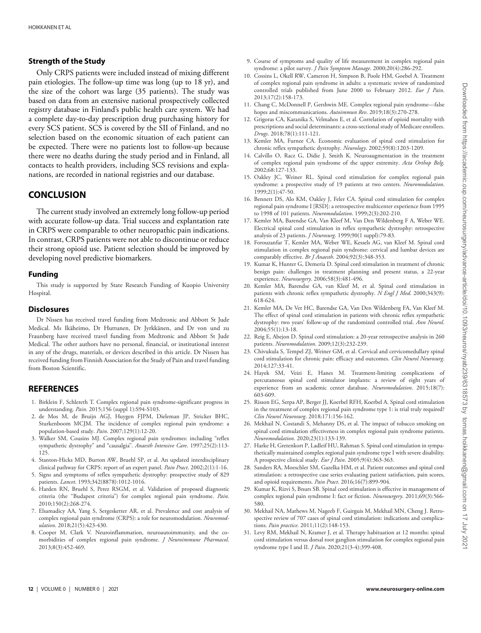## **Strength of the Study**

Only CRPS patients were included instead of mixing different pain etiologies. The follow-up time was long (up to 18 yr), and the size of the cohort was large (35 patients). The study was based on data from an extensive national prospectively collected registry database in Finland's public health care system. We had a complete day-to-day prescription drug purchasing history for every SCS patient. SCS is covered by the SII of Finland, and no selection based on the economic situation of each patient can be expected. There were no patients lost to follow-up because there were no deaths during the study period and in Finland, all contacts to health providers, including SCS revisions and explanations, are recorded in national registries and our database.

# **CONCLUSION**

The current study involved an extremely long follow-up period with accurate follow-up data. Trial success and explantation rate in CRPS were comparable to other neuropathic pain indications. In contrast, CRPS patients were not able to discontinue or reduce their strong opioid use. Patient selection should be improved by developing novel predictive biomarkers.

#### **Funding**

This study is supported by State Research Funding of Kuopio University Hospital.

#### **Disclosures**

Dr Nissen has received travel funding from Medtronic and Abbott St Jude Medical. Ms Ikäheimo, Dr Huttunen, Dr Jyrkkänen, and Dr von und zu Fraunberg have received travel funding from Medtronic and Abbott St Jude Medical. The other authors have no personal, financial, or institutional interest in any of the drugs, materials, or devices described in this article. Dr Nissen has received funding from Finnish Association for the Study of Pain and travel funding from Boston Scientific.

## **REFERENCES**

- <span id="page-11-0"></span>1. Birklein F, Schlereth T. Complex regional pain syndrome-significant progress in understanding. *Pain*. 2015;156 (suppl 1):S94-S103.
- <span id="page-11-1"></span>2. de Mos M, de Bruijn AGJ, Huygen FJPM, Dieleman JP, Stricker BHC, Sturkenboom MCJM. The incidence of complex regional pain syndrome: a population-based study. *Pain*. 2007;129(1):12-20.
- <span id="page-11-2"></span>3. Walker SM, Cousins MJ. Complex regional pain syndromes: including "reflex sympathetic dystrophy" and "causalgia". *Anaesth Intensive Care*. 1997;25(2):113- 125.
- <span id="page-11-3"></span>4. Stanton-Hicks MD, Burton AW, Bruehl SP, et al. An updated interdisciplinary clinical pathway for CRPS: report of an expert panel. *Pain Pract*. 2002;2(1):1-16.
- 5. Signs and symptoms of reflex sympathetic dystrophy: prospective study of 829 patients. *Lancet*. 1993;342(8878):1012-1016.
- <span id="page-11-4"></span>6. Harden RN, Bruehl S, Perez RSGM, et al. Validation of proposed diagnostic criteria (the "Budapest criteria") for complex regional pain syndrome. *Pain*. 2010;150(2):268-274.
- <span id="page-11-5"></span>7. Elsamadicy AA, Yang S, Sergesketter AR, et al. Prevalence and cost analysis of complex regional pain syndrome (CRPS): a role for neuromodulation. *Neuromodulation*. 2018;21(5):423-430.
- <span id="page-11-6"></span>8. Cooper M, Clark V. Neuroinflammation, neuroautoimmunity, and the comorbidities of complex regional pain syndrome. *J Neuroimmune Pharmacol*. 2013;8(3):452-469.
- <span id="page-11-7"></span>9. Course of symptoms and quality of life measurement in complex regional pain syndrome: a pilot survey. *J Pain Symptom Manage*. 2000;20(4):286-292.
- <span id="page-11-8"></span>10. Cossins L, Okell RW, Cameron H, Simpson B, Poole HM, Goebel A. Treatment of complex regional pain syndrome in adults: a systematic review of randomized controlled trials published from June 2000 to February 2012. *Eur J Pain*. 2013;17(2):158-173.
- <span id="page-11-9"></span>11. Chang C, McDonnell P, Gershwin ME. Complex regional pain syndrome—false hopes and miscommunications. *Autoimmun Rev*. 2019;18(3):270-278.
- <span id="page-11-10"></span>12. Grigoras CA, Karanika S, Velmahos E, et al. Correlation of opioid mortality with prescriptions and social determinants: a cross-sectional study of Medicare enrollees. *Drugs*. 2018;78(1):111-121.
- <span id="page-11-11"></span>13. Kemler MA, Furnee CA. Economic evaluation of spinal cord stimulation for chronic reflex sympathetic dystrophy. *Neurology*. 2002;59(8):1203-1209.
- 14. Calvillo O, Racz G, Didie J, Smith K. Neuroaugmentation in the treatment of complex regional pain syndrome of the upper extremity. *Acta Orthop Belg*. 2002;68:127-133.
- <span id="page-11-12"></span>15. Oakley JC, Weiner RL. Spinal cord stimulation for complex regional pain syndrome: a prospective study of 19 patients at two centers. *Neuromodulation*. 1999;2(1):47-50.
- <span id="page-11-13"></span>16. Bennett DS, Alo KM, Oakley J, Feler CA. Spinal cord stimulation for complex regional pain syndrome I [RSD]: a retrospective multicenter experience from 1995 to 1998 of 101 patients. *Neuromodulation*. 1999;2(3):202-210.
- <span id="page-11-28"></span>17. Kemler MA, Barendse GA, Van Kleef M, Van Den Wildenberg F A, Weber WE. Electrical spinal cord stimulation in reflex sympathetic dystrophy: retrospective analysis of 23 patients. *J Neurosurg*. 1999;90(1 suppl):79-83.
- <span id="page-11-27"></span>18. Forouzanfar T, Kemler MA, Weber WE, Kessels AG, van Kleef M. Spinal cord stimulation in complex regional pain syndrome: cervical and lumbar devices are comparably effective. *Br J Anaesth*. 2004;92(3):348-353.
- <span id="page-11-25"></span>19. Kumar K, Hunter G, Demeria D. Spinal cord stimulation in treatment of chronic benign pain: challenges in treatment planning and present status, a 22-year experience. *Neurosurgery*. 2006;58(3):481-496.
- <span id="page-11-23"></span>20. Kemler MA, Barendse GA, van Kleef M, et al. Spinal cord stimulation in patients with chronic reflex sympathetic dystrophy. *N Engl J Med*. 2000;343(9): 618-624.
- <span id="page-11-24"></span>21. Kemler MA, De Vet HC, Barendse GA, Van Den Wildenberg FA, Van Kleef M. The effect of spinal cord stimulation in patients with chronic reflex sympathetic dystrophy: two years' follow-up of the randomized controlled trial. *Ann Neurol*. 2004;55(1):13-18.
- <span id="page-11-22"></span>22. Reig E, Abejon D. Spinal cord stimulation: a 20-year retrospective analysis in 260 patients. *Neuromodulation*. 2009;12(3):232-239.
- <span id="page-11-19"></span>23. Chivukula S, Tempel ZJ, Weiner GM, et al. Cervical and cervicomedullary spinal cord stimulation for chronic pain: efficacy and outcomes. *Clin Neurol Neurosurg*. 2014;127:33-41.
- <span id="page-11-18"></span>24. Hayek SM, Veizi E, Hanes M. Treatment-limiting complications of percutaneous spinal cord stimulator implants: a review of eight years of experience from an academic center database. *Neuromodulation*. 2015;18(7): 603-609.
- <span id="page-11-16"></span>25. Risson EG, Serpa AP, Berger JJ, Koerbel RFH, Koerbel A. Spinal cord stimulation in the treatment of complex regional pain syndrome type 1: is trial truly required? *Clin Neurol Neurosurg*. 2018;171:156-162.
- <span id="page-11-14"></span>26. Mekhail N, Costandi S, Mehanny DS, et al. The impact of tobacco smoking on spinal cord stimulation effectiveness in complex regional pain syndrome patients. *Neuromodulation*. 2020;23(1):133-139.
- <span id="page-11-26"></span>27. Harke H, Gretenkort P, Ladleif HU, Rahman S. Spinal cord stimulation in sympathetically maintained complex regional pain syndrome type I with severe disability. A prospective clinical study. *Eur J Pain*. 2005;9(4):363-363.
- <span id="page-11-17"></span>28. Sanders RA, Moeschler SM, Gazelka HM, et al. Patient outcomes and spinal cord stimulation: a retrospective case series evaluating patient satisfaction, pain scores, and opioid requirements. *Pain Pract*. 2016;16(7):899-904.
- <span id="page-11-20"></span>29. Kumar K, Rizvi S, Bnurs SB. Spinal cord stimulation is effective in management of complex regional pain syndrome I: fact or fiction. *Neurosurgery*. 2011;69(3):566- 580.
- <span id="page-11-21"></span>30. Mekhail NA, Mathews M, Nageeb F, Guirguis M, Mekhail MN, Cheng J. Retrospective review of 707 cases of spinal cord stimulation: indications and complications. *Pain practice*. 2011;11(2):148-153.
- <span id="page-11-15"></span>31. Levy RM, Mekhail N, Kramer J, et al. Therapy habituation at 12 months: spinal cord stimulation versus dorsal root ganglion stimulation for complex regional pain syndrome type I and II. *J Pain*. 2020;21(3-4):399-408.